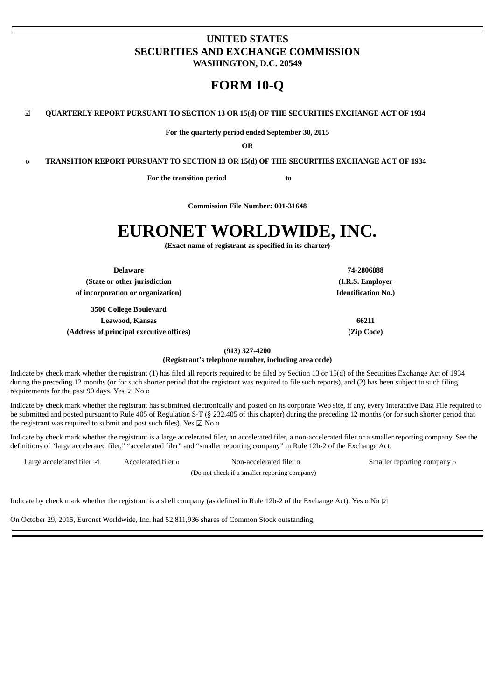# **UNITED STATES SECURITIES AND EXCHANGE COMMISSION WASHINGTON, D.C. 20549**

# **FORM 10-Q**

☑ **QUARTERLY REPORT PURSUANT TO SECTION 13 OR 15(d) OF THE SECURITIES EXCHANGE ACT OF 1934**

**For the quarterly period ended September 30, 2015**

**OR**

o **TRANSITION REPORT PURSUANT TO SECTION 13 OR 15(d) OF THE SECURITIES EXCHANGE ACT OF 1934**

**For the transition period to**

**Commission File Number: 001-31648**

# **EURONET WORLDWIDE, INC.**

**(Exact name of registrant as specified in its charter)**

**Delaware 74-2806888 (State or other jurisdiction (I.R.S. Employer of incorporation or organization) Identification No.)**

**3500 College Boulevard Leawood, Kansas 66211 (Address of principal executive offices) (Zip Code)**

**(913) 327-4200**

**(Registrant's telephone number, including area code)**

Indicate by check mark whether the registrant (1) has filed all reports required to be filed by Section 13 or 15(d) of the Securities Exchange Act of 1934 during the preceding 12 months (or for such shorter period that the registrant was required to file such reports), and (2) has been subject to such filing requirements for the past 90 days. Yes  $\boxtimes$  No o

Indicate by check mark whether the registrant has submitted electronically and posted on its corporate Web site, if any, every Interactive Data File required to be submitted and posted pursuant to Rule 405 of Regulation S-T (§ 232.405 of this chapter) during the preceding 12 months (or for such shorter period that the registrant was required to submit and post such files). Yes  $\boxtimes$  No o

Indicate by check mark whether the registrant is a large accelerated filer, an accelerated filer, a non-accelerated filer or a smaller reporting company. See the definitions of "large accelerated filer," "accelerated filer" and "smaller reporting company" in Rule 12b-2 of the Exchange Act.

Large accelerated filer ⊠ Accelerated filer o Non-accelerated filer o Smaller reporting company o

(Do not check if a smaller reporting company)

Indicate by check mark whether the registrant is a shell company (as defined in Rule 12b-2 of the Exchange Act). Yes o No  $\Box$ 

<span id="page-0-0"></span>On October 29, 2015, Euronet Worldwide, Inc. had 52,811,936 shares of Common Stock outstanding.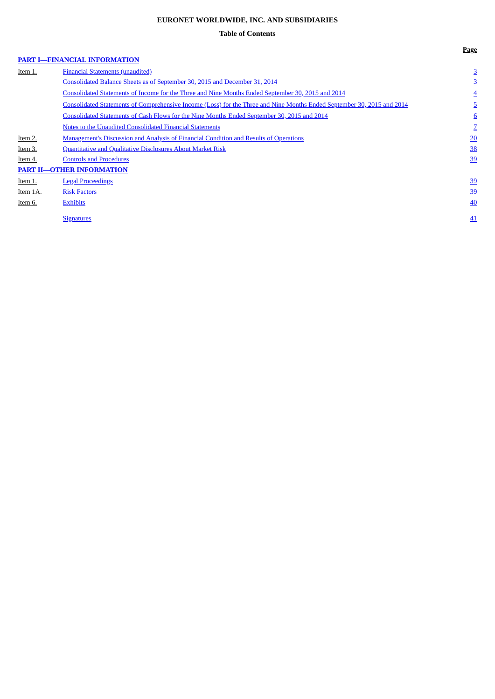# **EURONET WORLDWIDE, INC. AND SUBSIDIARIES**

# **Table of Contents**

# **PART I—FINANCIAL [INFORMATION](#page-1-0)**

<span id="page-1-0"></span>

| Item 1.        | <b>Financial Statements (unaudited)</b>                                                                                | 3               |
|----------------|------------------------------------------------------------------------------------------------------------------------|-----------------|
|                | Consolidated Balance Sheets as of September 30, 2015 and December 31, 2014                                             | <u>3</u>        |
|                | Consolidated Statements of Income for the Three and Nine Months Ended September 30, 2015 and 2014                      | $\overline{4}$  |
|                | Consolidated Statements of Comprehensive Income (Loss) for the Three and Nine Months Ended September 30, 2015 and 2014 | <u>5</u>        |
|                | Consolidated Statements of Cash Flows for the Nine Months Ended September 30, 2015 and 2014                            | $6\overline{6}$ |
|                | Notes to the Unaudited Consolidated Financial Statements                                                               |                 |
| Item 2.        | Management's Discussion and Analysis of Financial Condition and Results of Operations                                  | 20              |
| Item 3.        | <b>Quantitative and Qualitative Disclosures About Market Risk</b>                                                      | <u>38</u>       |
| Item 4.        | <b>Controls and Procedures</b>                                                                                         | 39              |
|                | <b>PART II-OTHER INFORMATION</b>                                                                                       |                 |
| <b>Item 1.</b> | <b>Legal Proceedings</b>                                                                                               | <u>39</u>       |
| Item 1A.       | <b>Risk Factors</b>                                                                                                    | <u>39</u>       |
| Item 6.        | Exhibits                                                                                                               | 40              |
|                | <b>Signatures</b>                                                                                                      | 41              |

**Page**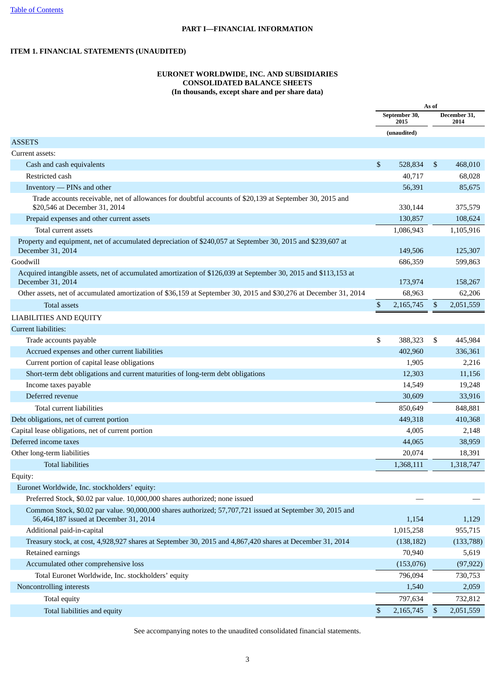### **PART I—FINANCIAL INFORMATION**

# <span id="page-2-1"></span><span id="page-2-0"></span>**ITEM 1. FINANCIAL STATEMENTS (UNAUDITED)**

### **EURONET WORLDWIDE, INC. AND SUBSIDIARIES CONSOLIDATED BALANCE SHEETS (In thousands, except share and per share data)**

|                                                                                                                                           | As of |                       |    |                      |
|-------------------------------------------------------------------------------------------------------------------------------------------|-------|-----------------------|----|----------------------|
|                                                                                                                                           |       | September 30,<br>2015 |    | December 31,<br>2014 |
|                                                                                                                                           |       | (unaudited)           |    |                      |
| <b>ASSETS</b>                                                                                                                             |       |                       |    |                      |
| Current assets:                                                                                                                           |       |                       |    |                      |
| Cash and cash equivalents                                                                                                                 | \$    | 528,834               | \$ | 468,010              |
| Restricted cash                                                                                                                           |       | 40,717                |    | 68,028               |
| Inventory — PINs and other                                                                                                                |       | 56,391                |    | 85,675               |
| Trade accounts receivable, net of allowances for doubtful accounts of \$20,139 at September 30, 2015 and<br>\$20,546 at December 31, 2014 |       | 330,144               |    | 375,579              |
| Prepaid expenses and other current assets                                                                                                 |       | 130,857               |    | 108,624              |
| Total current assets                                                                                                                      |       | 1,086,943             |    | 1,105,916            |
| Property and equipment, net of accumulated depreciation of \$240,057 at September 30, 2015 and \$239,607 at<br>December 31, 2014          |       | 149,506               |    | 125,307              |
| Goodwill                                                                                                                                  |       | 686,359               |    | 599,863              |
| Acquired intangible assets, net of accumulated amortization of \$126,039 at September 30, 2015 and \$113,153 at<br>December 31, 2014      |       | 173,974               |    | 158,267              |
| Other assets, net of accumulated amortization of \$36,159 at September 30, 2015 and \$30,276 at December 31, 2014                         |       | 68,963                |    | 62,206               |
| <b>Total assets</b>                                                                                                                       | \$    | 2,165,745             | \$ | 2,051,559            |
| <b>LIABILITIES AND EQUITY</b>                                                                                                             |       |                       |    |                      |
| Current liabilities:                                                                                                                      |       |                       |    |                      |
| Trade accounts payable                                                                                                                    | \$    | 388,323               | \$ | 445,984              |
| Accrued expenses and other current liabilities                                                                                            |       | 402,960               |    | 336,361              |
| Current portion of capital lease obligations                                                                                              |       | 1,905                 |    | 2,216                |
| Short-term debt obligations and current maturities of long-term debt obligations                                                          |       | 12,303                |    | 11,156               |
| Income taxes payable                                                                                                                      |       | 14,549                |    | 19,248               |
| Deferred revenue                                                                                                                          |       | 30,609                |    | 33,916               |
| Total current liabilities                                                                                                                 |       | 850,649               |    | 848,881              |
| Debt obligations, net of current portion                                                                                                  |       | 449,318               |    | 410,368              |
| Capital lease obligations, net of current portion                                                                                         |       | 4,005                 |    | 2,148                |
| Deferred income taxes                                                                                                                     |       | 44,065                |    | 38,959               |
| Other long-term liabilities                                                                                                               |       | 20,074                |    | 18,391               |
| <b>Total liabilities</b>                                                                                                                  |       | 1,368,111             |    | 1,318,747            |
|                                                                                                                                           |       |                       |    |                      |
| Equity:                                                                                                                                   |       |                       |    |                      |
| Euronet Worldwide, Inc. stockholders' equity:<br>Preferred Stock, \$0.02 par value. 10,000,000 shares authorized; none issued             |       |                       |    |                      |
| Common Stock, \$0.02 par value. 90,000,000 shares authorized; 57,707,721 issued at September 30, 2015 and                                 |       |                       |    |                      |
| 56,464,187 issued at December 31, 2014                                                                                                    |       | 1,154                 |    | 1,129                |
| Additional paid-in-capital                                                                                                                |       | 1,015,258             |    | 955,715              |
| Treasury stock, at cost, 4,928,927 shares at September 30, 2015 and 4,867,420 shares at December 31, 2014                                 |       | (138, 182)            |    | (133,788)            |
| Retained earnings                                                                                                                         |       | 70,940                |    | 5,619                |
| Accumulated other comprehensive loss                                                                                                      |       | (153,076)             |    | (97, 922)            |
| Total Euronet Worldwide, Inc. stockholders' equity                                                                                        |       | 796,094               |    | 730,753              |
| Noncontrolling interests                                                                                                                  |       | 1,540                 |    | 2,059                |
| Total equity                                                                                                                              |       | 797,634               |    | 732,812              |
| Total liabilities and equity                                                                                                              | \$    | 2,165,745             | \$ | 2,051,559            |

<span id="page-2-2"></span>See accompanying notes to the unaudited consolidated financial statements.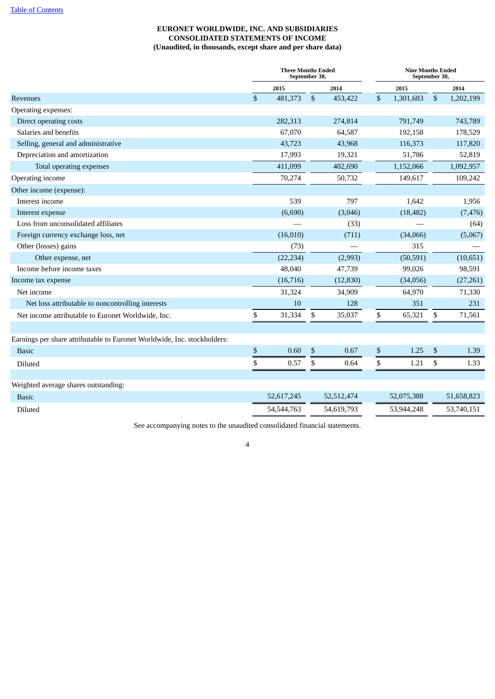# **EURONET WORLDWIDE, INC. AND SUBSIDIARIES CONSOLIDATED STATEMENTS OF INCOME (Unaudited, in thousands, except share and per share data)**

|                                                                          |              | <b>Three Months Ended</b><br>September 30, |                           |            | <b>Nine Months Ended</b><br>September 30, |                 |
|--------------------------------------------------------------------------|--------------|--------------------------------------------|---------------------------|------------|-------------------------------------------|-----------------|
|                                                                          |              | 2015                                       |                           | 2014       | 2015                                      | 2014            |
| Revenues                                                                 | $\mathbb{S}$ | 481,373                                    | $\sqrt{3}$                | 453,422    | \$<br>1,301,683                           | \$<br>1,202,199 |
| Operating expenses:                                                      |              |                                            |                           |            |                                           |                 |
| Direct operating costs                                                   |              | 282,313                                    |                           | 274,814    | 791,749                                   | 743,789         |
| Salaries and benefits                                                    |              | 67,070                                     |                           | 64,587     | 192,158                                   | 178,529         |
| Selling, general and administrative                                      |              | 43,723                                     |                           | 43,968     | 116,373                                   | 117,820         |
| Depreciation and amortization                                            |              | 17,993                                     |                           | 19,321     | 51,786                                    | 52,819          |
| Total operating expenses                                                 |              | 411,099                                    |                           | 402,690    | 1,152,066                                 | 1,092,957       |
| Operating income                                                         |              | 70,274                                     |                           | 50,732     | 149,617                                   | 109,242         |
| Other income (expense):                                                  |              |                                            |                           |            |                                           |                 |
| Interest income                                                          |              | 539                                        |                           | 797        | 1,642                                     | 1,956           |
| Interest expense                                                         |              | (6,690)                                    |                           | (3,046)    | (18, 482)                                 | (7, 476)        |
| Loss from unconsolidated affiliates                                      |              |                                            |                           | (33)       |                                           | (64)            |
| Foreign currency exchange loss, net                                      |              | (16, 010)                                  |                           | (711)      | (34,066)                                  | (5,067)         |
| Other (losses) gains                                                     |              | (73)                                       |                           |            | 315                                       |                 |
| Other expense, net                                                       |              | (22, 234)                                  |                           | (2,993)    | (50, 591)                                 | (10, 651)       |
| Income before income taxes                                               |              | 48,040                                     |                           | 47,739     | 99,026                                    | 98,591          |
| Income tax expense                                                       |              | (16, 716)                                  |                           | (12, 830)  | (34,056)                                  | (27, 261)       |
| Net income                                                               |              | 31,324                                     |                           | 34,909     | 64,970                                    | 71,330          |
| Net loss attributable to noncontrolling interests                        |              | 10                                         |                           | 128        | 351                                       | 231             |
| Net income attributable to Euronet Worldwide, Inc.                       | \$           | 31,334                                     | \$                        | 35,037     | \$<br>65,321                              | \$<br>71,561    |
| Earnings per share attributable to Euronet Worldwide, Inc. stockholders: |              |                                            |                           |            |                                           |                 |
| <b>Basic</b>                                                             | $\,$         | 0.60                                       | $\boldsymbol{\mathsf{S}}$ | 0.67       | \$<br>1.25                                | \$<br>1.39      |
| <b>Diluted</b>                                                           | \$           | 0.57                                       | \$                        | 0.64       | \$<br>1.21                                | \$<br>1.33      |
|                                                                          |              |                                            |                           |            |                                           |                 |
| Weighted average shares outstanding:                                     |              |                                            |                           |            |                                           |                 |
| <b>Basic</b>                                                             |              | 52,617,245                                 |                           | 52,512,474 | 52,075,388                                | 51,658,823      |
| Diluted                                                                  |              | 54, 544, 763                               |                           | 54,619,793 | 53,944,248                                | 53,740,151      |
|                                                                          |              |                                            |                           |            |                                           |                 |

<span id="page-3-0"></span>See accompanying notes to the unaudited consolidated financial statements.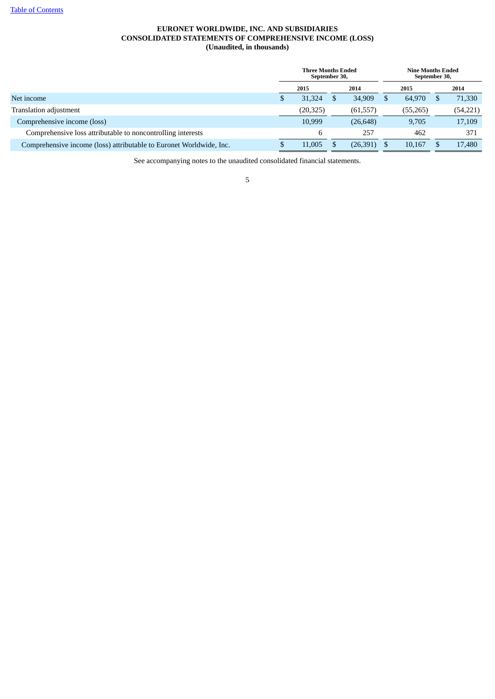### **EURONET WORLDWIDE, INC. AND SUBSIDIARIES CONSOLIDATED STATEMENTS OF COMPREHENSIVE INCOME (LOSS) (Unaudited, in thousands)**

<span id="page-4-0"></span>

|                                                                     | <b>Three Months Ended</b><br>September 30, |           |  |           |  |          | <b>Nine Months Ended</b><br>September 30, |          |  |
|---------------------------------------------------------------------|--------------------------------------------|-----------|--|-----------|--|----------|-------------------------------------------|----------|--|
|                                                                     | 2015<br>2014                               |           |  | 2015      |  | 2014     |                                           |          |  |
| Net income                                                          |                                            | 31,324    |  | 34,909    |  | 64,970   |                                           | 71,330   |  |
| Translation adjustment                                              |                                            | (20, 325) |  | (61, 557) |  | (55,265) |                                           | (54,221) |  |
| Comprehensive income (loss)                                         |                                            | 10,999    |  | (26, 648) |  | 9.705    |                                           | 17,109   |  |
| Comprehensive loss attributable to noncontrolling interests         |                                            | 6         |  | 257       |  | 462      |                                           | 371      |  |
| Comprehensive income (loss) attributable to Euronet Worldwide, Inc. |                                            | 11,005    |  | (26, 391) |  | 10,167   |                                           | 17,480   |  |

See accompanying notes to the unaudited consolidated financial statements.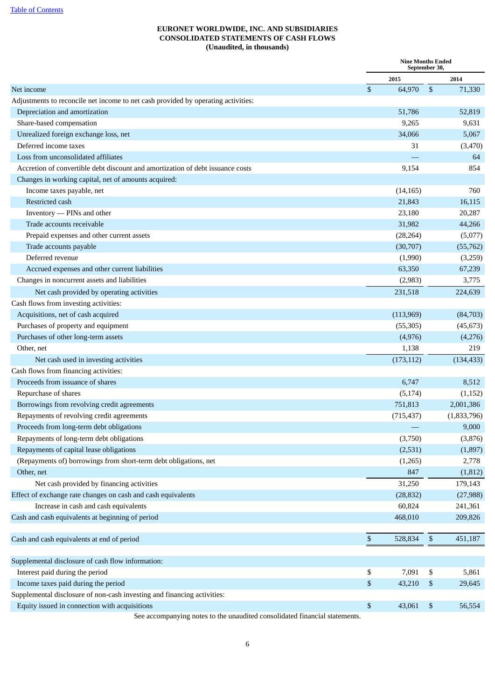## **EURONET WORLDWIDE, INC. AND SUBSIDIARIES CONSOLIDATED STATEMENTS OF CASH FLOWS (Unaudited, in thousands)**

|                                                                                   |              | <b>Nine Months Ended</b><br>September 30, |              |             |
|-----------------------------------------------------------------------------------|--------------|-------------------------------------------|--------------|-------------|
|                                                                                   |              | 2015                                      |              | 2014        |
| Net income                                                                        | \$           | 64,970                                    | \$           | 71,330      |
| Adjustments to reconcile net income to net cash provided by operating activities: |              |                                           |              |             |
| Depreciation and amortization                                                     |              | 51,786                                    |              | 52,819      |
| Share-based compensation                                                          |              | 9,265                                     |              | 9,631       |
| Unrealized foreign exchange loss, net                                             |              | 34,066                                    |              | 5,067       |
| Deferred income taxes                                                             |              | 31                                        |              | (3,470)     |
| Loss from unconsolidated affiliates                                               |              |                                           |              | 64          |
| Accretion of convertible debt discount and amortization of debt issuance costs    |              | 9,154                                     |              | 854         |
| Changes in working capital, net of amounts acquired:                              |              |                                           |              |             |
| Income taxes payable, net                                                         |              | (14, 165)                                 |              | 760         |
| Restricted cash                                                                   |              | 21,843                                    |              | 16,115      |
| Inventory — PINs and other                                                        |              | 23,180                                    |              | 20,287      |
| Trade accounts receivable                                                         |              | 31,982                                    |              | 44,266      |
| Prepaid expenses and other current assets                                         |              | (28, 264)                                 |              | (5,077)     |
| Trade accounts payable                                                            |              | (30,707)                                  |              | (55, 762)   |
| Deferred revenue                                                                  |              | (1,990)                                   |              | (3,259)     |
| Accrued expenses and other current liabilities                                    |              | 63,350                                    |              | 67,239      |
| Changes in noncurrent assets and liabilities                                      |              | (2,983)                                   |              | 3,775       |
| Net cash provided by operating activities                                         |              | 231,518                                   |              | 224,639     |
| Cash flows from investing activities:                                             |              |                                           |              |             |
| Acquisitions, net of cash acquired                                                |              | (113,969)                                 |              | (84,703)    |
| Purchases of property and equipment                                               |              | (55, 305)                                 |              | (45, 673)   |
| Purchases of other long-term assets                                               |              | (4,976)                                   |              | (4,276)     |
| Other, net                                                                        |              | 1,138                                     |              | 219         |
| Net cash used in investing activities                                             |              | (173, 112)                                |              | (134, 433)  |
| Cash flows from financing activities:                                             |              |                                           |              |             |
| Proceeds from issuance of shares                                                  |              | 6,747                                     |              | 8,512       |
| Repurchase of shares                                                              |              | (5, 174)                                  |              | (1, 152)    |
| Borrowings from revolving credit agreements                                       |              | 751,813                                   |              | 2,001,386   |
| Repayments of revolving credit agreements                                         |              | (715, 437)                                |              | (1,833,796) |
| Proceeds from long-term debt obligations                                          |              |                                           |              | 9,000       |
| Repayments of long-term debt obligations                                          |              | (3,750)                                   |              | (3,876)     |
| Repayments of capital lease obligations                                           |              | (2,531)                                   |              | (1,897)     |
| (Repayments of) borrowings from short-term debt obligations, net                  |              | (1,265)                                   |              | 2,778       |
| Other, net                                                                        |              | 847                                       |              | (1, 812)    |
| Net cash provided by financing activities                                         |              | 31,250                                    |              | 179,143     |
| Effect of exchange rate changes on cash and cash equivalents                      |              | (28, 832)                                 |              | (27, 988)   |
| Increase in cash and cash equivalents                                             |              | 60,824                                    |              | 241,361     |
| Cash and cash equivalents at beginning of period                                  |              | 468,010                                   |              | 209,826     |
|                                                                                   |              |                                           |              |             |
| Cash and cash equivalents at end of period                                        | $\mathbb{S}$ | 528,834                                   | $\mathbb{S}$ | 451,187     |
| Supplemental disclosure of cash flow information:                                 |              |                                           |              |             |
| Interest paid during the period                                                   | \$           | 7,091                                     | \$           | 5,861       |
| Income taxes paid during the period                                               | \$           | 43,210                                    | \$           | 29,645      |
| Supplemental disclosure of non-cash investing and financing activities:           |              |                                           |              |             |
| Equity issued in connection with acquisitions                                     | \$           | 43,061                                    | \$           | 56,554      |
| companing notes to the unpudited consolidated financial statements                |              |                                           |              |             |

<span id="page-5-0"></span>See accompanying notes to the unaudited consolidated financial statements.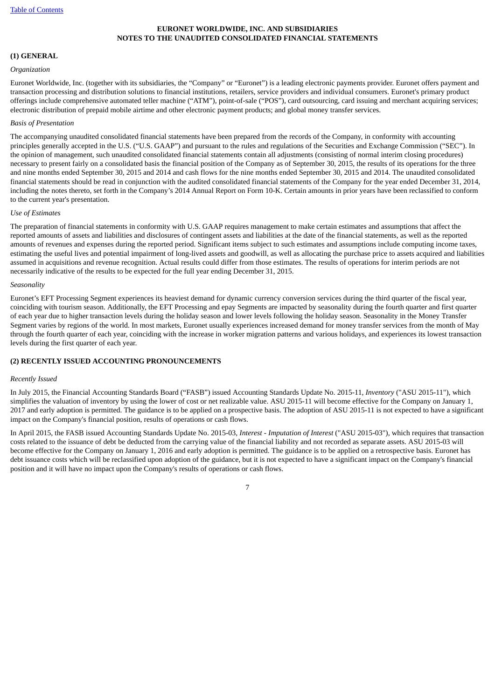### **EURONET WORLDWIDE, INC. AND SUBSIDIARIES NOTES TO THE UNAUDITED CONSOLIDATED FINANCIAL STATEMENTS**

#### **(1) GENERAL**

#### *Organization*

Euronet Worldwide, Inc. (together with its subsidiaries, the "Company" or "Euronet") is a leading electronic payments provider. Euronet offers payment and transaction processing and distribution solutions to financial institutions, retailers, service providers and individual consumers. Euronet's primary product offerings include comprehensive automated teller machine ("ATM"), point-of-sale ("POS"), card outsourcing, card issuing and merchant acquiring services; electronic distribution of prepaid mobile airtime and other electronic payment products; and global money transfer services.

#### *Basis of Presentation*

The accompanying unaudited consolidated financial statements have been prepared from the records of the Company, in conformity with accounting principles generally accepted in the U.S. ("U.S. GAAP") and pursuant to the rules and regulations of the Securities and Exchange Commission ("SEC"). In the opinion of management, such unaudited consolidated financial statements contain all adjustments (consisting of normal interim closing procedures) necessary to present fairly on a consolidated basis the financial position of the Company as of September 30, 2015, the results of its operations for the three and nine months ended September 30, 2015 and 2014 and cash flows for the nine months ended September 30, 2015 and 2014. The unaudited consolidated financial statements should be read in conjunction with the audited consolidated financial statements of the Company for the year ended December 31, 2014, including the notes thereto, set forth in the Company's 2014 Annual Report on Form 10-K. Certain amounts in prior years have been reclassified to conform to the current year's presentation.

#### *Use of Estimates*

The preparation of financial statements in conformity with U.S. GAAP requires management to make certain estimates and assumptions that affect the reported amounts of assets and liabilities and disclosures of contingent assets and liabilities at the date of the financial statements, as well as the reported amounts of revenues and expenses during the reported period. Significant items subject to such estimates and assumptions include computing income taxes, estimating the useful lives and potential impairment of long-lived assets and goodwill, as well as allocating the purchase price to assets acquired and liabilities assumed in acquisitions and revenue recognition. Actual results could differ from those estimates. The results of operations for interim periods are not necessarily indicative of the results to be expected for the full year ending December 31, 2015.

#### *Seasonality*

Euronet's EFT Processing Segment experiences its heaviest demand for dynamic currency conversion services during the third quarter of the fiscal year, coinciding with tourism season. Additionally, the EFT Processing and epay Segments are impacted by seasonality during the fourth quarter and first quarter of each year due to higher transaction levels during the holiday season and lower levels following the holiday season. Seasonality in the Money Transfer Segment varies by regions of the world. In most markets, Euronet usually experiences increased demand for money transfer services from the month of May through the fourth quarter of each year, coinciding with the increase in worker migration patterns and various holidays, and experiences its lowest transaction levels during the first quarter of each year.

### **(2) RECENTLY ISSUED ACCOUNTING PRONOUNCEMENTS**

#### *Recently Issued*

In July 2015, the Financial Accounting Standards Board ("FASB") issued Accounting Standards Update No. 2015-11, *Inventory* ("ASU 2015-11"), which simplifies the valuation of inventory by using the lower of cost or net realizable value. ASU 2015-11 will become effective for the Company on January 1, 2017 and early adoption is permitted. The guidance is to be applied on a prospective basis. The adoption of ASU 2015-11 is not expected to have a significant impact on the Company's financial position, results of operations or cash flows.

In April 2015, the FASB issued Accounting Standards Update No. 2015-03, *Interest - Imputation of Interest* ("ASU 2015-03"), which requires that transaction costs related to the issuance of debt be deducted from the carrying value of the financial liability and not recorded as separate assets. ASU 2015-03 will become effective for the Company on January 1, 2016 and early adoption is permitted. The guidance is to be applied on a retrospective basis. Euronet has debt issuance costs which will be reclassified upon adoption of the guidance, but it is not expected to have a significant impact on the Company's financial position and it will have no impact upon the Company's results of operations or cash flows.

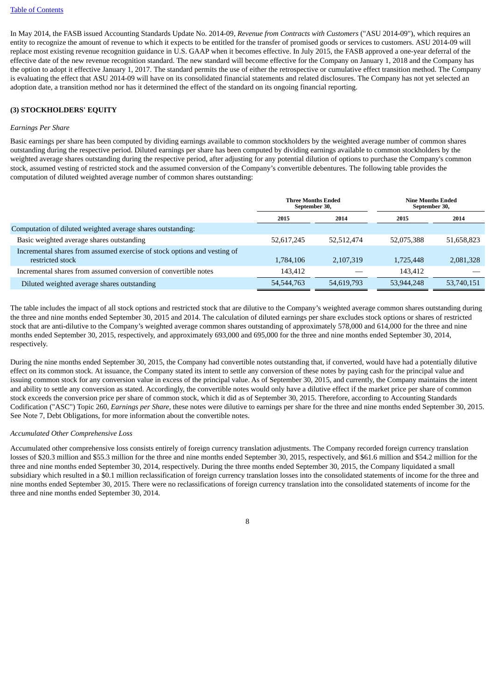In May 2014, the FASB issued Accounting Standards Update No. 2014-09, *Revenue from Contracts with Customers* ("ASU 2014-09"), which requires an entity to recognize the amount of revenue to which it expects to be entitled for the transfer of promised goods or services to customers. ASU 2014-09 will replace most existing revenue recognition guidance in U.S. GAAP when it becomes effective. In July 2015, the FASB approved a one-year deferral of the effective date of the new revenue recognition standard. The new standard will become effective for the Company on January 1, 2018 and the Company has the option to adopt it effective January 1, 2017. The standard permits the use of either the retrospective or cumulative effect transition method. The Company is evaluating the effect that ASU 2014-09 will have on its consolidated financial statements and related disclosures. The Company has not yet selected an adoption date, a transition method nor has it determined the effect of the standard on its ongoing financial reporting.

### **(3) STOCKHOLDERS' EQUITY**

#### *Earnings Per Share*

Basic earnings per share has been computed by dividing earnings available to common stockholders by the weighted average number of common shares outstanding during the respective period. Diluted earnings per share has been computed by dividing earnings available to common stockholders by the weighted average shares outstanding during the respective period, after adjusting for any potential dilution of options to purchase the Company's common stock, assumed vesting of restricted stock and the assumed conversion of the Company's convertible debentures. The following table provides the computation of diluted weighted average number of common shares outstanding:

|                                                                                              | <b>Three Months Ended</b><br>September 30, |            |            | <b>Nine Months Ended</b><br>September 30, |  |
|----------------------------------------------------------------------------------------------|--------------------------------------------|------------|------------|-------------------------------------------|--|
|                                                                                              | 2015                                       | 2014       |            | 2014                                      |  |
| Computation of diluted weighted average shares outstanding:                                  |                                            |            |            |                                           |  |
| Basic weighted average shares outstanding                                                    | 52,617,245                                 | 52,512,474 | 52,075,388 | 51,658,823                                |  |
| Incremental shares from assumed exercise of stock options and vesting of<br>restricted stock | 1,784,106                                  | 2.107.319  | 1,725,448  | 2,081,328                                 |  |
| Incremental shares from assumed conversion of convertible notes                              | 143,412                                    |            | 143,412    |                                           |  |
| Diluted weighted average shares outstanding                                                  | 54, 544, 763                               | 54,619,793 | 53,944,248 | 53,740,151                                |  |

The table includes the impact of all stock options and restricted stock that are dilutive to the Company's weighted average common shares outstanding during the three and nine months ended September 30, 2015 and 2014. The calculation of diluted earnings per share excludes stock options or shares of restricted stock that are anti-dilutive to the Company's weighted average common shares outstanding of approximately 578,000 and 614,000 for the three and nine months ended September 30, 2015, respectively, and approximately 693,000 and 695,000 for the three and nine months ended September 30, 2014, respectively.

During the nine months ended September 30, 2015, the Company had convertible notes outstanding that, if converted, would have had a potentially dilutive effect on its common stock. At issuance, the Company stated its intent to settle any conversion of these notes by paying cash for the principal value and issuing common stock for any conversion value in excess of the principal value. As of September 30, 2015, and currently, the Company maintains the intent and ability to settle any conversion as stated. Accordingly, the convertible notes would only have a dilutive effect if the market price per share of common stock exceeds the conversion price per share of common stock, which it did as of September 30, 2015. Therefore, according to Accounting Standards Codification ("ASC") Topic 260, *Earnings per Share*, these notes were dilutive to earnings per share for the three and nine months ended September 30, 2015. See Note 7, Debt Obligations, for more information about the convertible notes.

#### *Accumulated Other Comprehensive Loss*

Accumulated other comprehensive loss consists entirely of foreign currency translation adjustments. The Company recorded foreign currency translation losses of \$20.3 million and \$55.3 million for the three and nine months ended September 30, 2015, respectively, and \$61.6 million and \$54.2 million for the three and nine months ended September 30, 2014, respectively. During the three months ended September 30, 2015, the Company liquidated a small subsidiary which resulted in a \$0.1 million reclassification of foreign currency translation losses into the consolidated statements of income for the three and nine months ended September 30, 2015. There were no reclassifications of foreign currency translation into the consolidated statements of income for the three and nine months ended September 30, 2014.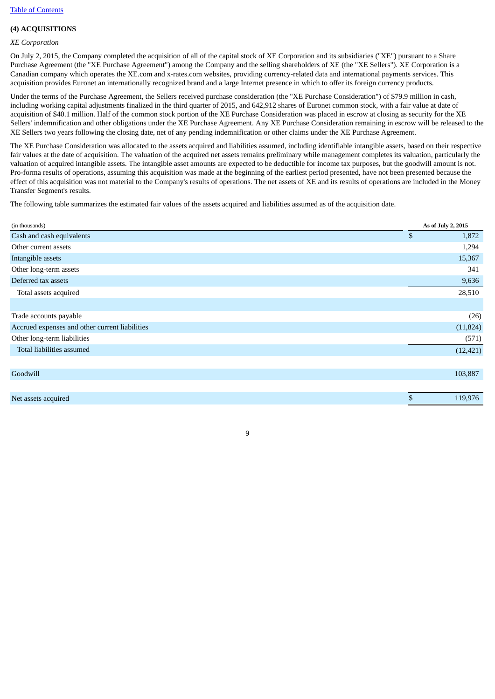### **(4) ACQUISITIONS**

#### *XE Corporation*

On July 2, 2015, the Company completed the acquisition of all of the capital stock of XE Corporation and its subsidiaries ("XE") pursuant to a Share Purchase Agreement (the "XE Purchase Agreement") among the Company and the selling shareholders of XE (the "XE Sellers"). XE Corporation is a Canadian company which operates the XE.com and x-rates.com websites, providing currency-related data and international payments services. This acquisition provides Euronet an internationally recognized brand and a large Internet presence in which to offer its foreign currency products.

Under the terms of the Purchase Agreement, the Sellers received purchase consideration (the "XE Purchase Consideration") of \$79.9 million in cash, including working capital adjustments finalized in the third quarter of 2015, and 642,912 shares of Euronet common stock, with a fair value at date of acquisition of \$40.1 million. Half of the common stock portion of the XE Purchase Consideration was placed in escrow at closing as security for the XE Sellers' indemnification and other obligations under the XE Purchase Agreement. Any XE Purchase Consideration remaining in escrow will be released to the XE Sellers two years following the closing date, net of any pending indemnification or other claims under the XE Purchase Agreement.

The XE Purchase Consideration was allocated to the assets acquired and liabilities assumed, including identifiable intangible assets, based on their respective fair values at the date of acquisition. The valuation of the acquired net assets remains preliminary while management completes its valuation, particularly the valuation of acquired intangible assets. The intangible asset amounts are expected to be deductible for income tax purposes, but the goodwill amount is not. Pro-forma results of operations, assuming this acquisition was made at the beginning of the earliest period presented, have not been presented because the effect of this acquisition was not material to the Company's results of operations. The net assets of XE and its results of operations are included in the Money Transfer Segment's results.

The following table summarizes the estimated fair values of the assets acquired and liabilities assumed as of the acquisition date.

| (in thousands)                                 | As of July 2, 2015 |
|------------------------------------------------|--------------------|
| Cash and cash equivalents                      | \$<br>1,872        |
| Other current assets                           | 1,294              |
| Intangible assets                              | 15,367             |
| Other long-term assets                         | 341                |
| Deferred tax assets                            | 9,636              |
| Total assets acquired                          | 28,510             |
|                                                |                    |
| Trade accounts payable                         | (26)               |
| Accrued expenses and other current liabilities | (11, 824)          |
| Other long-term liabilities                    | (571)              |
| Total liabilities assumed                      | (12, 421)          |
|                                                |                    |
| Goodwill                                       | 103,887            |
|                                                |                    |
| Net assets acquired                            | \$<br>119,976      |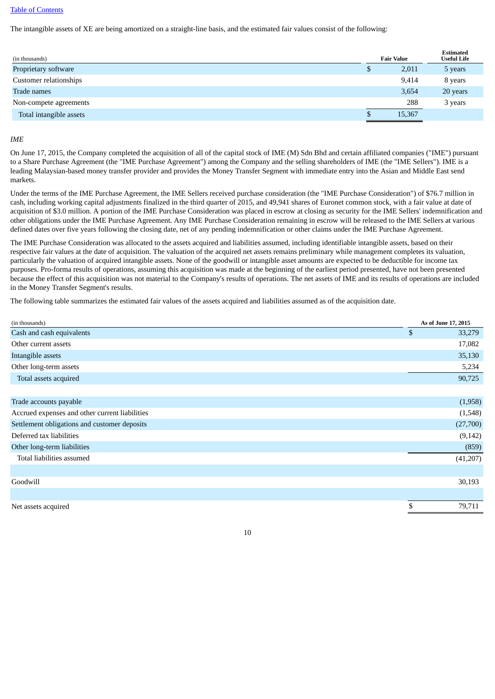#### Table of [Contents](#page-0-0)

The intangible assets of XE are being amortized on a straight-line basis, and the estimated fair values consist of the following:

| (in thousands)          |   | <b>Fair Value</b> | <b>Estimated</b><br><b>Useful Life</b> |
|-------------------------|---|-------------------|----------------------------------------|
| Proprietary software    | D | 2,011             | 5 years                                |
| Customer relationships  |   | 9,414             | 8 years                                |
| Trade names             |   | 3,654             | 20 years                               |
| Non-compete agreements  |   | 288               | 3 years                                |
| Total intangible assets |   | 15,367            |                                        |

#### *IME*

On June 17, 2015, the Company completed the acquisition of all of the capital stock of IME (M) Sdn Bhd and certain affiliated companies ("IME") pursuant to a Share Purchase Agreement (the "IME Purchase Agreement") among the Company and the selling shareholders of IME (the "IME Sellers"). IME is a leading Malaysian-based money transfer provider and provides the Money Transfer Segment with immediate entry into the Asian and Middle East send markets.

Under the terms of the IME Purchase Agreement, the IME Sellers received purchase consideration (the "IME Purchase Consideration") of \$76.7 million in cash, including working capital adjustments finalized in the third quarter of 2015, and 49,941 shares of Euronet common stock, with a fair value at date of acquisition of \$3.0 million. A portion of the IME Purchase Consideration was placed in escrow at closing as security for the IME Sellers' indemnification and other obligations under the IME Purchase Agreement. Any IME Purchase Consideration remaining in escrow will be released to the IME Sellers at various defined dates over five years following the closing date, net of any pending indemnification or other claims under the IME Purchase Agreement.

The IME Purchase Consideration was allocated to the assets acquired and liabilities assumed, including identifiable intangible assets, based on their respective fair values at the date of acquisition. The valuation of the acquired net assets remains preliminary while management completes its valuation, particularly the valuation of acquired intangible assets. None of the goodwill or intangible asset amounts are expected to be deductible for income tax purposes. Pro-forma results of operations, assuming this acquisition was made at the beginning of the earliest period presented, have not been presented because the effect of this acquisition was not material to the Company's results of operations. The net assets of IME and its results of operations are included in the Money Transfer Segment's results.

The following table summarizes the estimated fair values of the assets acquired and liabilities assumed as of the acquisition date.

| (in thousands)                                 | As of June 17, 2015 |
|------------------------------------------------|---------------------|
| Cash and cash equivalents                      | \$<br>33,279        |
| Other current assets                           | 17,082              |
| Intangible assets                              | 35,130              |
| Other long-term assets                         | 5,234               |
| Total assets acquired                          | 90,725              |
|                                                |                     |
| Trade accounts payable                         | (1,958)             |
| Accrued expenses and other current liabilities | (1,548)             |
| Settlement obligations and customer deposits   | (27,700)            |
| Deferred tax liabilities                       | (9, 142)            |
| Other long-term liabilities                    | (859)               |
| Total liabilities assumed                      | (41,207)            |
|                                                |                     |
| Goodwill                                       | 30,193              |
|                                                |                     |
| Net assets acquired                            | 79,711              |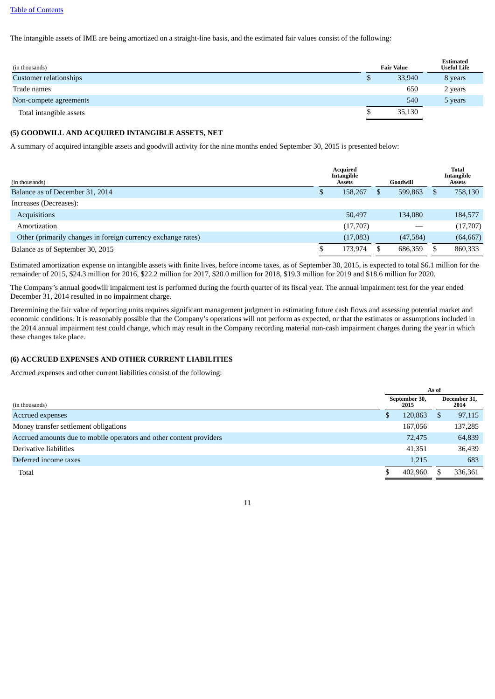#### Table of [Contents](#page-0-0)

The intangible assets of IME are being amortized on a straight-line basis, and the estimated fair values consist of the following:

| (in thousands)                |    | <b>Fair Value</b> | <b>Estimated</b><br><b>Useful Life</b> |
|-------------------------------|----|-------------------|----------------------------------------|
| <b>Customer relationships</b> | \$ | 33,940            | 8 years                                |
| Trade names                   |    | 650               | 2 years                                |
| Non-compete agreements        |    | 540               | 5 years                                |
| Total intangible assets       | Φ  | 35,130            |                                        |

# **(5) GOODWILL AND ACQUIRED INTANGIBLE ASSETS, NET**

A summary of acquired intangible assets and goodwill activity for the nine months ended September 30, 2015 is presented below:

| (in thousands)                                               |  | <b>Acquired</b><br>Intangible<br><b>Assets</b> | Goodwill |          | Total<br>Intangible<br><b>Assets</b> |           |
|--------------------------------------------------------------|--|------------------------------------------------|----------|----------|--------------------------------------|-----------|
| Balance as of December 31, 2014                              |  | 158,267                                        | \$       | 599,863  | ĸD                                   | 758,130   |
| Increases (Decreases):                                       |  |                                                |          |          |                                      |           |
| <b>Acquisitions</b>                                          |  | 50,497                                         |          | 134,080  |                                      | 184,577   |
| Amortization                                                 |  | (17,707)                                       |          |          |                                      | (17,707)  |
| Other (primarily changes in foreign currency exchange rates) |  | (17,083)                                       |          | (47,584) |                                      | (64, 667) |
| Balance as of September 30, 2015                             |  | 173,974                                        |          | 686,359  |                                      | 860,333   |

Estimated amortization expense on intangible assets with finite lives, before income taxes, as of September 30, 2015, is expected to total \$6.1 million for the remainder of 2015, \$24.3 million for 2016, \$22.2 million for 2017, \$20.0 million for 2018, \$19.3 million for 2019 and \$18.6 million for 2020.

The Company's annual goodwill impairment test is performed during the fourth quarter of its fiscal year. The annual impairment test for the year ended December 31, 2014 resulted in no impairment charge.

Determining the fair value of reporting units requires significant management judgment in estimating future cash flows and assessing potential market and economic conditions. It is reasonably possible that the Company's operations will not perform as expected, or that the estimates or assumptions included in the 2014 annual impairment test could change, which may result in the Company recording material non-cash impairment charges during the year in which these changes take place.

### **(6) ACCRUED EXPENSES AND OTHER CURRENT LIABILITIES**

Accrued expenses and other current liabilities consist of the following:

|                                                                     | As of                 |         |               |                      |  |
|---------------------------------------------------------------------|-----------------------|---------|---------------|----------------------|--|
| (in thousands)                                                      | September 30,<br>2015 |         |               | December 31,<br>2014 |  |
| <b>Accrued expenses</b>                                             | S                     | 120,863 | <sup>\$</sup> | 97,115               |  |
| Money transfer settlement obligations                               |                       | 167,056 |               | 137,285              |  |
| Accrued amounts due to mobile operators and other content providers |                       | 72,475  |               | 64,839               |  |
| Derivative liabilities                                              |                       | 41,351  |               | 36,439               |  |
| Deferred income taxes                                               |                       | 1,215   |               | 683                  |  |
| Total                                                               |                       | 402.960 |               | 336,361              |  |

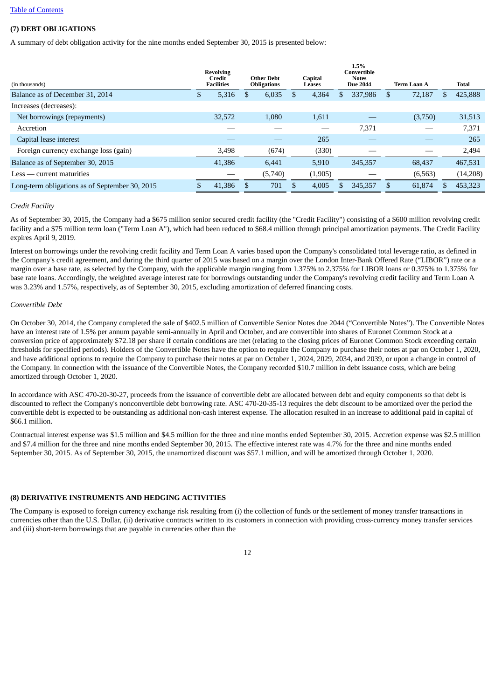# **(7) DEBT OBLIGATIONS**

A summary of debt obligation activity for the nine months ended September 30, 2015 is presented below:

| (in thousands)                                 |   | <b>Revolving</b><br>Credit<br><b>Facilities</b> |     | Other Debt<br><b>Obligations</b> |    | Capital<br>Leases |   | 1.5%<br>Convertible<br><b>Notes</b><br><b>Due 2044</b> |     | Term Loan A |   | Total    |
|------------------------------------------------|---|-------------------------------------------------|-----|----------------------------------|----|-------------------|---|--------------------------------------------------------|-----|-------------|---|----------|
| Balance as of December 31, 2014                | D | 5,316                                           | S   | 6,035                            | -S | 4,364             | S | 337,986                                                | \$  | 72,187      | S | 425,888  |
| Increases (decreases):                         |   |                                                 |     |                                  |    |                   |   |                                                        |     |             |   |          |
| Net borrowings (repayments)                    |   | 32,572                                          |     | 1,080                            |    | 1,611             |   |                                                        |     | (3,750)     |   | 31,513   |
| Accretion                                      |   |                                                 |     |                                  |    |                   |   | 7,371                                                  |     |             |   | 7,371    |
| Capital lease interest                         |   |                                                 |     |                                  |    | 265               |   |                                                        |     |             |   | 265      |
| Foreign currency exchange loss (gain)          |   | 3,498                                           |     | (674)                            |    | (330)             |   |                                                        |     |             |   | 2,494    |
| Balance as of September 30, 2015               |   | 41,386                                          |     | 6,441                            |    | 5,910             |   | 345,357                                                |     | 68,437      |   | 467,531  |
| Less — current maturities                      |   |                                                 |     | (5,740)                          |    | (1,905)           |   |                                                        |     | (6, 563)    |   | (14,208) |
| Long-term obligations as of September 30, 2015 |   | 41,386                                          | \$. | 701                              |    | 4,005             |   | 345,357                                                | \$. | 61,874      |   | 453,323  |

#### *Credit Facility*

As of September 30, 2015, the Company had a \$675 million senior secured credit facility (the "Credit Facility") consisting of a \$600 million revolving credit facility and a \$75 million term loan ("Term Loan A"), which had been reduced to \$68.4 million through principal amortization payments. The Credit Facility expires April 9, 2019.

Interest on borrowings under the revolving credit facility and Term Loan A varies based upon the Company's consolidated total leverage ratio, as defined in the Company's credit agreement, and during the third quarter of 2015 was based on a margin over the London Inter-Bank Offered Rate ("LIBOR") rate or a margin over a base rate, as selected by the Company, with the applicable margin ranging from 1.375% to 2.375% for LIBOR loans or 0.375% to 1.375% for base rate loans. Accordingly, the weighted average interest rate for borrowings outstanding under the Company's revolving credit facility and Term Loan A was 3.23% and 1.57%, respectively, as of September 30, 2015, excluding amortization of deferred financing costs.

#### *Convertible Debt*

On October 30, 2014, the Company completed the sale of \$402.5 million of Convertible Senior Notes due 2044 ("Convertible Notes"). The Convertible Notes have an interest rate of 1.5% per annum payable semi-annually in April and October, and are convertible into shares of Euronet Common Stock at a conversion price of approximately \$72.18 per share if certain conditions are met (relating to the closing prices of Euronet Common Stock exceeding certain thresholds for specified periods). Holders of the Convertible Notes have the option to require the Company to purchase their notes at par on October 1, 2020, and have additional options to require the Company to purchase their notes at par on October 1, 2024, 2029, 2034, and 2039, or upon a change in control of the Company. In connection with the issuance of the Convertible Notes, the Company recorded \$10.7 million in debt issuance costs, which are being amortized through October 1, 2020.

In accordance with ASC 470-20-30-27, proceeds from the issuance of convertible debt are allocated between debt and equity components so that debt is discounted to reflect the Company's nonconvertible debt borrowing rate. ASC 470-20-35-13 requires the debt discount to be amortized over the period the convertible debt is expected to be outstanding as additional non-cash interest expense. The allocation resulted in an increase to additional paid in capital of \$66.1 million.

Contractual interest expense was \$1.5 million and \$4.5 million for the three and nine months ended September 30, 2015. Accretion expense was \$2.5 million and \$7.4 million for the three and nine months ended September 30, 2015. The effective interest rate was 4.7% for the three and nine months ended September 30, 2015. As of September 30, 2015, the unamortized discount was \$57.1 million, and will be amortized through October 1, 2020.

### **(8) DERIVATIVE INSTRUMENTS AND HEDGING ACTIVITIES**

The Company is exposed to foreign currency exchange risk resulting from (i) the collection of funds or the settlement of money transfer transactions in currencies other than the U.S. Dollar, (ii) derivative contracts written to its customers in connection with providing cross-currency money transfer services and (iii) short-term borrowings that are payable in currencies other than the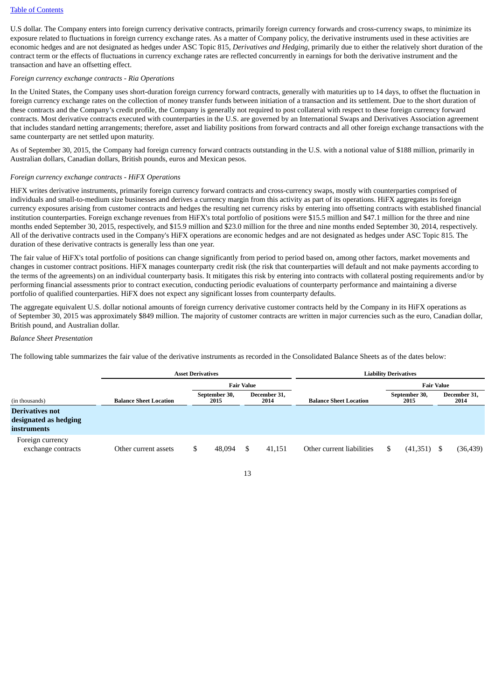#### Table of [Contents](#page-0-0)

U.S dollar. The Company enters into foreign currency derivative contracts, primarily foreign currency forwards and cross-currency swaps, to minimize its exposure related to fluctuations in foreign currency exchange rates. As a matter of Company policy, the derivative instruments used in these activities are economic hedges and are not designated as hedges under ASC Topic 815, *Derivatives and Hedging,* primarily due to either the relatively short duration of the contract term or the effects of fluctuations in currency exchange rates are reflected concurrently in earnings for both the derivative instrument and the transaction and have an offsetting effect.

#### *Foreign currency exchange contracts - Ria Operations*

In the United States, the Company uses short-duration foreign currency forward contracts, generally with maturities up to 14 days, to offset the fluctuation in foreign currency exchange rates on the collection of money transfer funds between initiation of a transaction and its settlement. Due to the short duration of these contracts and the Company's credit profile, the Company is generally not required to post collateral with respect to these foreign currency forward contracts. Most derivative contracts executed with counterparties in the U.S. are governed by an International Swaps and Derivatives Association agreement that includes standard netting arrangements; therefore, asset and liability positions from forward contracts and all other foreign exchange transactions with the same counterparty are net settled upon maturity.

As of September 30, 2015, the Company had foreign currency forward contracts outstanding in the U.S. with a notional value of \$188 million, primarily in Australian dollars, Canadian dollars, British pounds, euros and Mexican pesos.

#### *Foreign currency exchange contracts - HiFX Operations*

HiFX writes derivative instruments, primarily foreign currency forward contracts and cross-currency swaps, mostly with counterparties comprised of individuals and small-to-medium size businesses and derives a currency margin from this activity as part of its operations. HiFX aggregates its foreign currency exposures arising from customer contracts and hedges the resulting net currency risks by entering into offsetting contracts with established financial institution counterparties. Foreign exchange revenues from HiFX's total portfolio of positions were \$15.5 million and \$47.1 million for the three and nine months ended September 30, 2015, respectively, and \$15.9 million and \$23.0 million for the three and nine months ended September 30, 2014, respectively. All of the derivative contracts used in the Company's HiFX operations are economic hedges and are not designated as hedges under ASC Topic 815*.* The duration of these derivative contracts is generally less than one year.

The fair value of HiFX's total portfolio of positions can change significantly from period to period based on, among other factors, market movements and changes in customer contract positions. HiFX manages counterparty credit risk (the risk that counterparties will default and not make payments according to the terms of the agreements) on an individual counterparty basis. It mitigates this risk by entering into contracts with collateral posting requirements and/or by performing financial assessments prior to contract execution, conducting periodic evaluations of counterparty performance and maintaining a diverse portfolio of qualified counterparties. HiFX does not expect any significant losses from counterparty defaults.

The aggregate equivalent U.S. dollar notional amounts of foreign currency derivative customer contracts held by the Company in its HiFX operations as of September 30, 2015 was approximately \$849 million. The majority of customer contracts are written in major currencies such as the euro, Canadian dollar, British pound, and Australian dollar.

#### *Balance Sheet Presentation*

The following table summarizes the fair value of the derivative instruments as recorded in the Consolidated Balance Sheets as of the dates below:

|                                                                       |                               | <b>Asset Derivatives</b> |                       |                      |        | <b>Liability Derivatives</b>  |     |                       |                   |                      |  |  |  |
|-----------------------------------------------------------------------|-------------------------------|--------------------------|-----------------------|----------------------|--------|-------------------------------|-----|-----------------------|-------------------|----------------------|--|--|--|
|                                                                       |                               |                          |                       | <b>Fair Value</b>    |        |                               |     |                       | <b>Fair Value</b> |                      |  |  |  |
| (in thousands)                                                        | <b>Balance Sheet Location</b> |                          | September 30,<br>2015 | December 31,<br>2014 |        | <b>Balance Sheet Location</b> |     | September 30,<br>2015 |                   | December 31,<br>2014 |  |  |  |
| <b>Derivatives not</b><br>designated as hedging<br><i>instruments</i> |                               |                          |                       |                      |        |                               |     |                       |                   |                      |  |  |  |
| Foreign currency<br>exchange contracts                                | Other current assets          |                          | 48,094                | \$.                  | 41,151 | Other current liabilities     | \$. | $(41,351)$ \$         |                   | (36,439)             |  |  |  |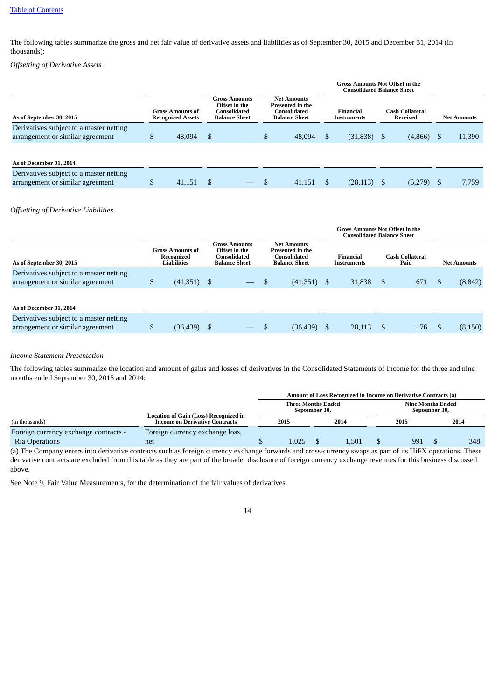The following tables summarize the gross and net fair value of derivative assets and liabilities as of September 30, 2015 and December 31, 2014 (in thousands):

*Offsetting of Derivative Assets*

|                                                                             |                                                     |               |                                                                               |               |                                                                                |     | <b>Gross Amounts Not Offset in the</b><br><b>Consolidated Balance Sheet</b> |                                           |            |                    |
|-----------------------------------------------------------------------------|-----------------------------------------------------|---------------|-------------------------------------------------------------------------------|---------------|--------------------------------------------------------------------------------|-----|-----------------------------------------------------------------------------|-------------------------------------------|------------|--------------------|
| As of September 30, 2015                                                    | <b>Gross Amounts of</b><br><b>Recognized Assets</b> |               | <b>Gross Amounts</b><br>Offset in the<br>Consolidated<br><b>Balance Sheet</b> |               | <b>Net Amounts</b><br>Presented in the<br>Consolidated<br><b>Balance Sheet</b> |     | Financial<br>Instruments                                                    | <b>Cash Collateral</b><br><b>Received</b> |            | <b>Net Amounts</b> |
| Derivatives subject to a master netting<br>arrangement or similar agreement | \$<br>48,094                                        | S             |                                                                               | \$            | 48,094                                                                         | \$. | $(31,838)$ \$                                                               | (4,866)                                   | $\sqrt{s}$ | 11,390             |
| As of December 31, 2014                                                     |                                                     |               |                                                                               |               |                                                                                |     |                                                                             |                                           |            |                    |
| Derivatives subject to a master netting<br>arrangement or similar agreement | \$<br>41,151                                        | <sup>\$</sup> |                                                                               | <sup>\$</sup> | 41,151                                                                         | \$  | $(28, 113)$ \$                                                              | $(5,279)$ \$                              |            | 7,759              |

#### *Offsetting of Derivative Liabilities*

|                                                                             |                                                             |      |                                                                               |               |                                                                                |    | <b>Gross Amounts Not Offset in the</b><br><b>Consolidated Balance Sheet</b> |                                |   |                    |
|-----------------------------------------------------------------------------|-------------------------------------------------------------|------|-------------------------------------------------------------------------------|---------------|--------------------------------------------------------------------------------|----|-----------------------------------------------------------------------------|--------------------------------|---|--------------------|
| As of September 30, 2015                                                    | <b>Gross Amounts of</b><br>Recognized<br><b>Liabilities</b> |      | <b>Gross Amounts</b><br>Offset in the<br>Consolidated<br><b>Balance Sheet</b> |               | <b>Net Amounts</b><br>Presented in the<br>Consolidated<br><b>Balance Sheet</b> |    | Financial<br>Instruments                                                    | <b>Cash Collateral</b><br>Paid |   | <b>Net Amounts</b> |
| Derivatives subject to a master netting<br>arrangement or similar agreement | \$<br>$(41,351)$ \$                                         |      |                                                                               | \$            | $(41,351)$ \$                                                                  |    | 31,838                                                                      | 671                            | S | (8, 842)           |
| As of December 31, 2014                                                     |                                                             |      |                                                                               |               |                                                                                |    |                                                                             |                                |   |                    |
| Derivatives subject to a master netting<br>arrangement or similar agreement | \$<br>(36, 439)                                             | - \$ | $\overbrace{\hspace{25mm}}^{}$                                                | <sup>\$</sup> | (36, 439)                                                                      | -S | 28,113                                                                      | 176                            | S | (8,150)            |

#### *Income Statement Presentation*

The following tables summarize the location and amount of gains and losses of derivatives in the Consolidated Statements of Income for the three and nine months ended September 30, 2015 and 2014:

|                                       |                                                                                       |      |                           | Amount of Loss Recognized in Income on Derivative Contracts (a) |       |                          |               |      |
|---------------------------------------|---------------------------------------------------------------------------------------|------|---------------------------|-----------------------------------------------------------------|-------|--------------------------|---------------|------|
|                                       |                                                                                       |      | <b>Three Months Ended</b> | September 30,                                                   |       | <b>Nine Months Ended</b> | September 30, |      |
| (in thousands)                        | <b>Location of Gain (Loss) Recognized in</b><br><b>Income on Derivative Contracts</b> | 2015 |                           | 2014                                                            |       | 2015                     |               | 2014 |
| Foreign currency exchange contracts - | Foreign currency exchange loss,                                                       |      |                           |                                                                 |       |                          |               |      |
| <b>Ria Operations</b>                 | net                                                                                   |      | 1.025                     |                                                                 | l.501 | 991                      |               | 348  |

(a) The Company enters into derivative contracts such as foreign currency exchange forwards and cross-currency swaps as part of its HiFX operations. These derivative contracts are excluded from this table as they are part of the broader disclosure of foreign currency exchange revenues for this business discussed above.

See Note 9, Fair Value Measurements, for the determination of the fair values of derivatives.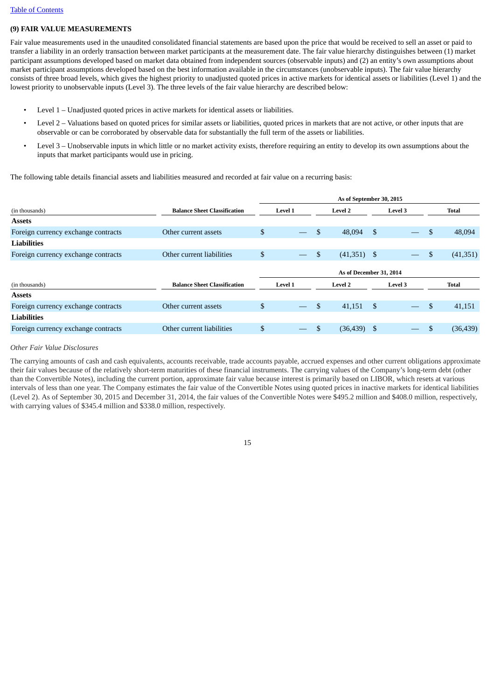# **(9) FAIR VALUE MEASUREMENTS**

Fair value measurements used in the unaudited consolidated financial statements are based upon the price that would be received to sell an asset or paid to transfer a liability in an orderly transaction between market participants at the measurement date. The fair value hierarchy distinguishes between (1) market participant assumptions developed based on market data obtained from independent sources (observable inputs) and (2) an entity's own assumptions about market participant assumptions developed based on the best information available in the circumstances (unobservable inputs). The fair value hierarchy consists of three broad levels, which gives the highest priority to unadjusted quoted prices in active markets for identical assets or liabilities (Level 1) and the lowest priority to unobservable inputs (Level 3). The three levels of the fair value hierarchy are described below:

- Level 1 Unadjusted quoted prices in active markets for identical assets or liabilities.
- Level 2 Valuations based on quoted prices for similar assets or liabilities, quoted prices in markets that are not active, or other inputs that are observable or can be corroborated by observable data for substantially the full term of the assets or liabilities.
- Level 3 Unobservable inputs in which little or no market activity exists, therefore requiring an entity to develop its own assumptions about the inputs that market participants would use in pricing.

The following table details financial assets and liabilities measured and recorded at fair value on a recurring basis:

|                                     |                                     | As of September 30, 2015 |                   |    |                         |                |                          |     |              |  |  |  |
|-------------------------------------|-------------------------------------|--------------------------|-------------------|----|-------------------------|----------------|--------------------------|-----|--------------|--|--|--|
| (in thousands)                      | <b>Balance Sheet Classification</b> |                          | <b>Level 1</b>    |    | Level 2                 |                | <b>Level 3</b>           |     | <b>Total</b> |  |  |  |
| <b>Assets</b>                       |                                     |                          |                   |    |                         |                |                          |     |              |  |  |  |
| Foreign currency exchange contracts | Other current assets                | \$                       |                   | \$ | 48,094                  | $\mathfrak{s}$ |                          | \$  | 48,094       |  |  |  |
| <b>Liabilities</b>                  |                                     |                          |                   |    |                         |                |                          |     |              |  |  |  |
| Foreign currency exchange contracts | Other current liabilities           | \$                       |                   |    | $(41,351)$ \$           |                |                          | \$. | (41,351)     |  |  |  |
|                                     |                                     |                          |                   |    | As of December 31, 2014 |                |                          |     |              |  |  |  |
| (in thousands)                      | <b>Balance Sheet Classification</b> |                          | <b>Level 1</b>    |    | Level 2                 |                | <b>Level 3</b>           |     | <b>Total</b> |  |  |  |
| <b>Assets</b>                       |                                     |                          |                   |    |                         |                |                          |     |              |  |  |  |
| Foreign currency exchange contracts | Other current assets                | \$                       | $\qquad \qquad -$ | \$ | 41,151                  | -\$            | $\overline{\phantom{0}}$ | \$. | 41,151       |  |  |  |
| <b>Liabilities</b>                  |                                     |                          |                   |    |                         |                |                          |     |              |  |  |  |
| Foreign currency exchange contracts | Other current liabilities           | \$                       | $\hspace{0.05cm}$ |    | $(36, 439)$ \$          |                |                          | S   | (36, 439)    |  |  |  |
|                                     |                                     |                          |                   |    |                         |                |                          |     |              |  |  |  |

#### *Other Fair Value Disclosures*

The carrying amounts of cash and cash equivalents, accounts receivable, trade accounts payable, accrued expenses and other current obligations approximate their fair values because of the relatively short-term maturities of these financial instruments. The carrying values of the Company's long-term debt (other than the Convertible Notes), including the current portion, approximate fair value because interest is primarily based on LIBOR, which resets at various intervals of less than one year. The Company estimates the fair value of the Convertible Notes using quoted prices in inactive markets for identical liabilities (Level 2). As of September 30, 2015 and December 31, 2014, the fair values of the Convertible Notes were \$495.2 million and \$408.0 million, respectively, with carrying values of \$345.4 million and \$338.0 million, respectively.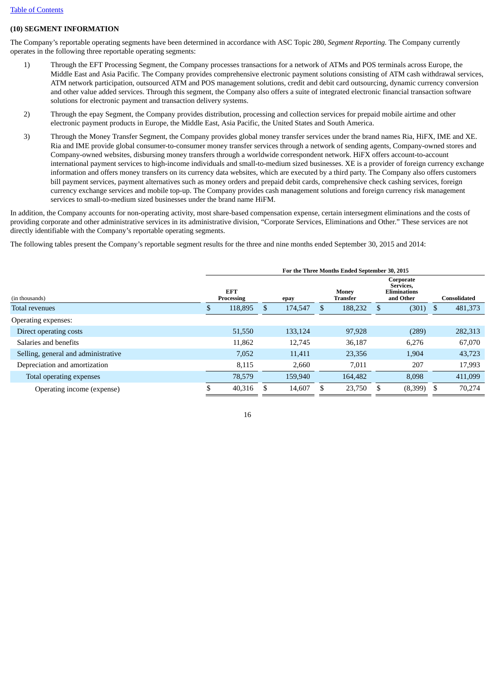# **(10) SEGMENT INFORMATION**

The Company's reportable operating segments have been determined in accordance with ASC Topic 280, *Segment Reporting.* The Company currently operates in the following three reportable operating segments:

- 1) Through the EFT Processing Segment, the Company processes transactions for a network of ATMs and POS terminals across Europe, the Middle East and Asia Pacific. The Company provides comprehensive electronic payment solutions consisting of ATM cash withdrawal services, ATM network participation, outsourced ATM and POS management solutions, credit and debit card outsourcing, dynamic currency conversion and other value added services. Through this segment, the Company also offers a suite of integrated electronic financial transaction software solutions for electronic payment and transaction delivery systems.
- 2) Through the epay Segment, the Company provides distribution, processing and collection services for prepaid mobile airtime and other electronic payment products in Europe, the Middle East, Asia Pacific, the United States and South America.
- 3) Through the Money Transfer Segment, the Company provides global money transfer services under the brand names Ria, HiFX, IME and XE. Ria and IME provide global consumer-to-consumer money transfer services through a network of sending agents, Company-owned stores and Company-owned websites, disbursing money transfers through a worldwide correspondent network. HiFX offers account-to-account international payment services to high-income individuals and small-to-medium sized businesses. XE is a provider of foreign currency exchange information and offers money transfers on its currency data websites, which are executed by a third party. The Company also offers customers bill payment services, payment alternatives such as money orders and prepaid debit cards, comprehensive check cashing services, foreign currency exchange services and mobile top-up. The Company provides cash management solutions and foreign currency risk management services to small-to-medium sized businesses under the brand name HiFM.

In addition, the Company accounts for non-operating activity, most share-based compensation expense, certain intersegment eliminations and the costs of providing corporate and other administrative services in its administrative division, "Corporate Services, Eliminations and Other." These services are not directly identifiable with the Company's reportable operating segments.

The following tables present the Company's reportable segment results for the three and nine months ended September 30, 2015 and 2014:

|                                     | For the Three Months Ended September 30, 2015 |                                 |     |         |             |                   |   |                                                            |   |              |  |  |  |
|-------------------------------------|-----------------------------------------------|---------------------------------|-----|---------|-------------|-------------------|---|------------------------------------------------------------|---|--------------|--|--|--|
| (in thousands)                      |                                               | <b>EFT</b><br><b>Processing</b> |     | epay    |             | Money<br>Transfer |   | Corporate<br>Services,<br><b>Eliminations</b><br>and Other |   | Consolidated |  |  |  |
| Total revenues                      |                                               | 118,895                         | \$. | 174,547 |             | 188,232           |   | (301)                                                      | S | 481,373      |  |  |  |
| Operating expenses:                 |                                               |                                 |     |         |             |                   |   |                                                            |   |              |  |  |  |
| Direct operating costs              |                                               | 51,550                          |     | 133,124 |             | 97,928            |   | (289)                                                      |   | 282,313      |  |  |  |
| Salaries and benefits               |                                               | 11.862                          |     | 12.745  |             | 36,187            |   | 6.276                                                      |   | 67,070       |  |  |  |
| Selling, general and administrative |                                               | 7,052                           |     | 11,411  |             | 23,356            |   | 1,904                                                      |   | 43,723       |  |  |  |
| Depreciation and amortization       |                                               | 8,115                           |     | 2,660   |             | 7,011             |   | 207                                                        |   | 17,993       |  |  |  |
| Total operating expenses            |                                               | 78,579                          |     | 159,940 |             | 164,482           |   | 8,098                                                      |   | 411,099      |  |  |  |
| Operating income (expense)          |                                               | 40,316                          | S   | 14,607  | 23,750<br>S |                   | S | (8,399)                                                    | S | 70,274       |  |  |  |

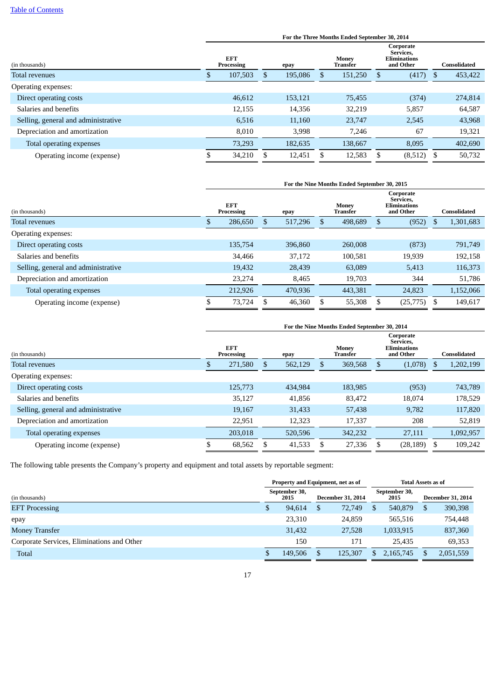# Table of [Contents](#page-0-0)

|                                     | For the Three Months Ended September 30, 2014 |                          |     |         |                   |         |                                                            |              |              |         |  |  |  |  |
|-------------------------------------|-----------------------------------------------|--------------------------|-----|---------|-------------------|---------|------------------------------------------------------------|--------------|--------------|---------|--|--|--|--|
| (in thousands)                      |                                               | <b>EFT</b><br>Processing |     | epay    | Money<br>Transfer |         | Corporate<br>Services.<br><b>Eliminations</b><br>and Other |              | Consolidated |         |  |  |  |  |
| Total revenues                      |                                               | 107,503                  | \$  | 195,086 | S                 | 151,250 | <sup>\$</sup>                                              | (417)        | - \$         | 453,422 |  |  |  |  |
| Operating expenses:                 |                                               |                          |     |         |                   |         |                                                            |              |              |         |  |  |  |  |
| Direct operating costs              |                                               | 46.612                   |     | 153.121 |                   | 75,455  |                                                            | (374)        |              | 274,814 |  |  |  |  |
| Salaries and benefits               |                                               | 12,155                   |     | 14.356  |                   | 32,219  |                                                            | 5,857        |              | 64,587  |  |  |  |  |
| Selling, general and administrative |                                               | 6,516                    |     | 11,160  |                   | 23,747  |                                                            | 2,545        |              | 43,968  |  |  |  |  |
| Depreciation and amortization       |                                               | 8,010                    |     | 3,998   |                   | 7,246   |                                                            | 67           |              | 19,321  |  |  |  |  |
| Total operating expenses            |                                               | 73,293                   |     | 182,635 |                   | 138,667 |                                                            | 8,095        |              | 402,690 |  |  |  |  |
| Operating income (expense)          |                                               | 34,210                   | \$. | 12,451  |                   | 12,583  | -\$                                                        | $(8,512)$ \$ |              | 50,732  |  |  |  |  |

|                                     | For the Nine Months Ended September 30, 2015 |                          |                |         |                   |         |                                                            |               |              |           |  |  |  |  |
|-------------------------------------|----------------------------------------------|--------------------------|----------------|---------|-------------------|---------|------------------------------------------------------------|---------------|--------------|-----------|--|--|--|--|
| (in thousands)                      |                                              | <b>EFT</b><br>Processing |                | epay    | Money<br>Transfer |         | Corporate<br>Services,<br><b>Eliminations</b><br>and Other |               | Consolidated |           |  |  |  |  |
| Total revenues                      |                                              | 286,650                  |                | 517,296 | S.                | 498,689 |                                                            | (952)         | <sup>S</sup> | 1,301,683 |  |  |  |  |
| Operating expenses:                 |                                              |                          |                |         |                   |         |                                                            |               |              |           |  |  |  |  |
| Direct operating costs              |                                              | 135,754                  |                | 396,860 |                   | 260,008 |                                                            | (873)         |              | 791,749   |  |  |  |  |
| Salaries and benefits               |                                              | 34,466                   |                | 37,172  |                   | 100,581 |                                                            | 19,939        |              | 192,158   |  |  |  |  |
| Selling, general and administrative |                                              | 19,432                   |                | 28,439  |                   | 63,089  |                                                            | 5,413         |              | 116,373   |  |  |  |  |
| Depreciation and amortization       |                                              | 23.274                   |                | 8,465   |                   | 19,703  |                                                            | 344           |              | 51,786    |  |  |  |  |
| Total operating expenses            |                                              | 212,926                  |                | 470.936 |                   | 443,381 |                                                            | 24,823        |              | 1,152,066 |  |  |  |  |
| Operating income (expense)          |                                              | 73,724                   | 46,360<br>- \$ |         | 55,308<br>S.      |         | \$.                                                        | $(25,775)$ \$ |              | 149,617   |  |  |  |  |

|                                     | For the Nine Months Ended September 30, 2014 |                          |   |         |     |                   |   |                                                            |   |              |  |  |  |
|-------------------------------------|----------------------------------------------|--------------------------|---|---------|-----|-------------------|---|------------------------------------------------------------|---|--------------|--|--|--|
| (in thousands)                      |                                              | <b>EFT</b><br>Processing |   | epay    |     | Money<br>Transfer |   | Corporate<br>Services,<br><b>Eliminations</b><br>and Other |   | Consolidated |  |  |  |
| Total revenues                      |                                              | 271,580                  | S | 562,129 | \$. | 369,568           | S | (1,078)                                                    | Ж | 1,202,199    |  |  |  |
| Operating expenses:                 |                                              |                          |   |         |     |                   |   |                                                            |   |              |  |  |  |
| Direct operating costs              |                                              | 125,773                  |   | 434.984 |     | 183,985           |   | (953)                                                      |   | 743,789      |  |  |  |
| Salaries and benefits               |                                              | 35.127                   |   | 41,856  |     | 83.472            |   | 18.074                                                     |   | 178,529      |  |  |  |
| Selling, general and administrative |                                              | 19.167                   |   | 31,433  |     | 57,438            |   | 9.782                                                      |   | 117,820      |  |  |  |
| Depreciation and amortization       |                                              | 22,951                   |   | 12,323  |     | 17,337            |   | 208                                                        |   | 52,819       |  |  |  |
| Total operating expenses            |                                              | 203.018                  |   | 520,596 |     | 342,232           |   | 27,111                                                     |   | 1,092,957    |  |  |  |
| Operating income (expense)          |                                              | 68,562                   |   | 41,533  |     | 27,336            |   | (28,189)                                                   |   | 109,242      |  |  |  |

The following table presents the Company's property and equipment and total assets by reportable segment:

|                                            | Property and Equipment, net as of                 |         |  |         |  |                       | <b>Total Assets as of</b> |                          |  |
|--------------------------------------------|---------------------------------------------------|---------|--|---------|--|-----------------------|---------------------------|--------------------------|--|
| (in thousands)                             | September 30,<br><b>December 31, 2014</b><br>2015 |         |  |         |  | September 30,<br>2015 |                           | <b>December 31, 2014</b> |  |
| <b>EFT</b> Processing                      | S                                                 | 94.614  |  | 72,749  |  | 540,879               |                           | 390,398                  |  |
| epay                                       |                                                   | 23,310  |  | 24,859  |  | 565,516               |                           | 754,448                  |  |
| <b>Money Transfer</b>                      |                                                   | 31,432  |  | 27,528  |  | 1,033,915             |                           | 837,360                  |  |
| Corporate Services, Eliminations and Other |                                                   | 150     |  | 171     |  | 25.435                |                           | 69,353                   |  |
| <b>Total</b>                               |                                                   | 149,506 |  | 125,307 |  | 2,165,745             |                           | 2,051,559                |  |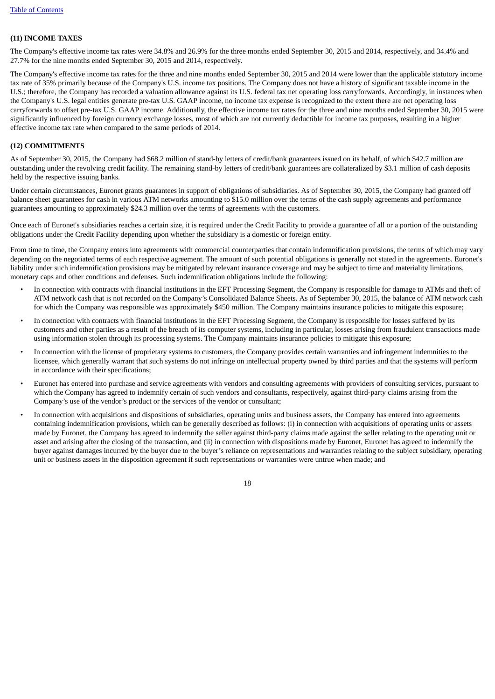#### **(11) INCOME TAXES**

The Company's effective income tax rates were 34.8% and 26.9% for the three months ended September 30, 2015 and 2014, respectively, and 34.4% and 27.7% for the nine months ended September 30, 2015 and 2014, respectively.

The Company's effective income tax rates for the three and nine months ended September 30, 2015 and 2014 were lower than the applicable statutory income tax rate of 35% primarily because of the Company's U.S. income tax positions. The Company does not have a history of significant taxable income in the U.S.; therefore, the Company has recorded a valuation allowance against its U.S. federal tax net operating loss carryforwards. Accordingly, in instances when the Company's U.S. legal entities generate pre-tax U.S. GAAP income, no income tax expense is recognized to the extent there are net operating loss carryforwards to offset pre-tax U.S. GAAP income. Additionally, the effective income tax rates for the three and nine months ended September 30, 2015 were significantly influenced by foreign currency exchange losses, most of which are not currently deductible for income tax purposes, resulting in a higher effective income tax rate when compared to the same periods of 2014.

### **(12) COMMITMENTS**

As of September 30, 2015, the Company had \$68.2 million of stand-by letters of credit/bank guarantees issued on its behalf, of which \$42.7 million are outstanding under the revolving credit facility. The remaining stand-by letters of credit/bank guarantees are collateralized by \$3.1 million of cash deposits held by the respective issuing banks.

Under certain circumstances, Euronet grants guarantees in support of obligations of subsidiaries. As of September 30, 2015, the Company had granted off balance sheet guarantees for cash in various ATM networks amounting to \$15.0 million over the terms of the cash supply agreements and performance guarantees amounting to approximately \$24.3 million over the terms of agreements with the customers.

Once each of Euronet's subsidiaries reaches a certain size, it is required under the Credit Facility to provide a guarantee of all or a portion of the outstanding obligations under the Credit Facility depending upon whether the subsidiary is a domestic or foreign entity.

From time to time, the Company enters into agreements with commercial counterparties that contain indemnification provisions, the terms of which may vary depending on the negotiated terms of each respective agreement. The amount of such potential obligations is generally not stated in the agreements. Euronet's liability under such indemnification provisions may be mitigated by relevant insurance coverage and may be subject to time and materiality limitations, monetary caps and other conditions and defenses. Such indemnification obligations include the following:

- In connection with contracts with financial institutions in the EFT Processing Segment, the Company is responsible for damage to ATMs and theft of ATM network cash that is not recorded on the Company's Consolidated Balance Sheets. As of September 30, 2015, the balance of ATM network cash for which the Company was responsible was approximately \$450 million. The Company maintains insurance policies to mitigate this exposure;
- In connection with contracts with financial institutions in the EFT Processing Segment, the Company is responsible for losses suffered by its customers and other parties as a result of the breach of its computer systems, including in particular, losses arising from fraudulent transactions made using information stolen through its processing systems. The Company maintains insurance policies to mitigate this exposure;
- In connection with the license of proprietary systems to customers, the Company provides certain warranties and infringement indemnities to the licensee, which generally warrant that such systems do not infringe on intellectual property owned by third parties and that the systems will perform in accordance with their specifications;
- Euronet has entered into purchase and service agreements with vendors and consulting agreements with providers of consulting services, pursuant to which the Company has agreed to indemnify certain of such vendors and consultants, respectively, against third-party claims arising from the Company's use of the vendor's product or the services of the vendor or consultant;
- In connection with acquisitions and dispositions of subsidiaries, operating units and business assets, the Company has entered into agreements containing indemnification provisions, which can be generally described as follows: (i) in connection with acquisitions of operating units or assets made by Euronet, the Company has agreed to indemnify the seller against third-party claims made against the seller relating to the operating unit or asset and arising after the closing of the transaction, and (ii) in connection with dispositions made by Euronet, Euronet has agreed to indemnify the buyer against damages incurred by the buyer due to the buyer's reliance on representations and warranties relating to the subject subsidiary, operating unit or business assets in the disposition agreement if such representations or warranties were untrue when made; and

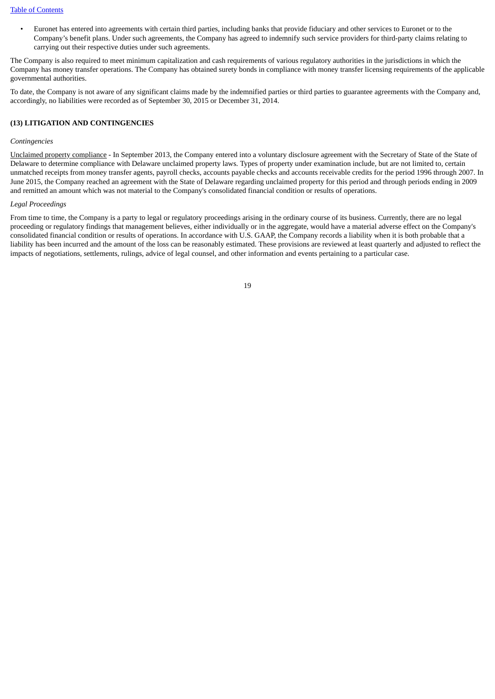• Euronet has entered into agreements with certain third parties, including banks that provide fiduciary and other services to Euronet or to the Company's benefit plans. Under such agreements, the Company has agreed to indemnify such service providers for third-party claims relating to carrying out their respective duties under such agreements.

The Company is also required to meet minimum capitalization and cash requirements of various regulatory authorities in the jurisdictions in which the Company has money transfer operations. The Company has obtained surety bonds in compliance with money transfer licensing requirements of the applicable governmental authorities.

To date, the Company is not aware of any significant claims made by the indemnified parties or third parties to guarantee agreements with the Company and, accordingly, no liabilities were recorded as of September 30, 2015 or December 31, 2014.

#### **(13) LITIGATION AND CONTINGENCIES**

#### *Contingencies*

Unclaimed property compliance *-* In September 2013, the Company entered into a voluntary disclosure agreement with the Secretary of State of the State of Delaware to determine compliance with Delaware unclaimed property laws. Types of property under examination include, but are not limited to, certain unmatched receipts from money transfer agents, payroll checks, accounts payable checks and accounts receivable credits for the period 1996 through 2007. In June 2015, the Company reached an agreement with the State of Delaware regarding unclaimed property for this period and through periods ending in 2009 and remitted an amount which was not material to the Company's consolidated financial condition or results of operations.

#### *Legal Proceedings*

<span id="page-18-0"></span>From time to time, the Company is a party to legal or regulatory proceedings arising in the ordinary course of its business. Currently, there are no legal proceeding or regulatory findings that management believes, either individually or in the aggregate, would have a material adverse effect on the Company's consolidated financial condition or results of operations. In accordance with U.S. GAAP, the Company records a liability when it is both probable that a liability has been incurred and the amount of the loss can be reasonably estimated. These provisions are reviewed at least quarterly and adjusted to reflect the impacts of negotiations, settlements, rulings, advice of legal counsel, and other information and events pertaining to a particular case.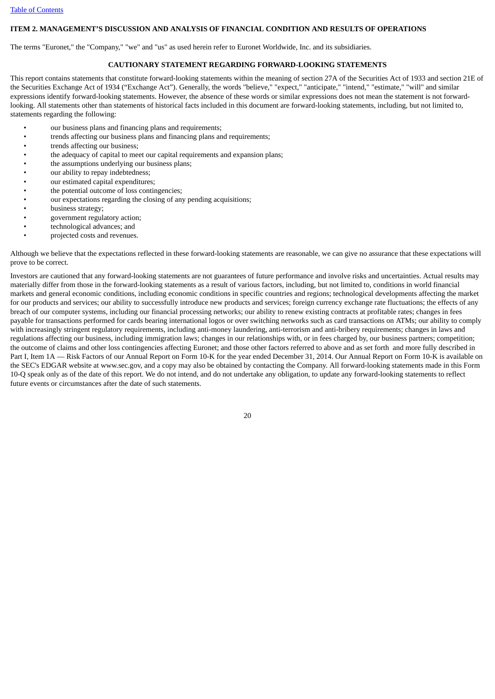### **ITEM 2. MANAGEMENT'S DISCUSSION AND ANALYSIS OF FINANCIAL CONDITION AND RESULTS OF OPERATIONS**

The terms "Euronet," the "Company," "we" and "us" as used herein refer to Euronet Worldwide, Inc. and its subsidiaries.

#### **CAUTIONARY STATEMENT REGARDING FORWARD-LOOKING STATEMENTS**

This report contains statements that constitute forward-looking statements within the meaning of section 27A of the Securities Act of 1933 and section 21E of the Securities Exchange Act of 1934 ("Exchange Act"). Generally, the words "believe," "expect," "anticipate," "intend," "estimate," "will" and similar expressions identify forward-looking statements. However, the absence of these words or similar expressions does not mean the statement is not forwardlooking. All statements other than statements of historical facts included in this document are forward-looking statements, including, but not limited to, statements regarding the following:

- our business plans and financing plans and requirements;
- trends affecting our business plans and financing plans and requirements;
- trends affecting our business;
- the adequacy of capital to meet our capital requirements and expansion plans;
- the assumptions underlying our business plans;<br>• our ability to repay indebtedness:
- our ability to repay indebtedness:
- our estimated capital expenditures;<br>• the potential outcome of loss continuous
- the potential outcome of loss contingencies;
- our expectations regarding the closing of any pending acquisitions;
- business strategy;
- government regulatory action;
- technological advances; and
- projected costs and revenues.

Although we believe that the expectations reflected in these forward-looking statements are reasonable, we can give no assurance that these expectations will prove to be correct.

Investors are cautioned that any forward-looking statements are not guarantees of future performance and involve risks and uncertainties. Actual results may materially differ from those in the forward-looking statements as a result of various factors, including, but not limited to, conditions in world financial markets and general economic conditions, including economic conditions in specific countries and regions; technological developments affecting the market for our products and services; our ability to successfully introduce new products and services; foreign currency exchange rate fluctuations; the effects of any breach of our computer systems, including our financial processing networks; our ability to renew existing contracts at profitable rates; changes in fees payable for transactions performed for cards bearing international logos or over switching networks such as card transactions on ATMs; our ability to comply with increasingly stringent regulatory requirements, including anti-money laundering, anti-terrorism and anti-bribery requirements; changes in laws and regulations affecting our business, including immigration laws; changes in our relationships with, or in fees charged by, our business partners; competition; the outcome of claims and other loss contingencies affecting Euronet; and those other factors referred to above and as set forth and more fully described in Part I, Item 1A — Risk Factors of our Annual Report on Form 10-K for the year ended December 31, 2014. Our Annual Report on Form 10-K is available on the SEC's EDGAR website at www.sec.gov, and a copy may also be obtained by contacting the Company. All forward-looking statements made in this Form 10-Q speak only as of the date of this report. We do not intend, and do not undertake any obligation, to update any forward-looking statements to reflect future events or circumstances after the date of such statements.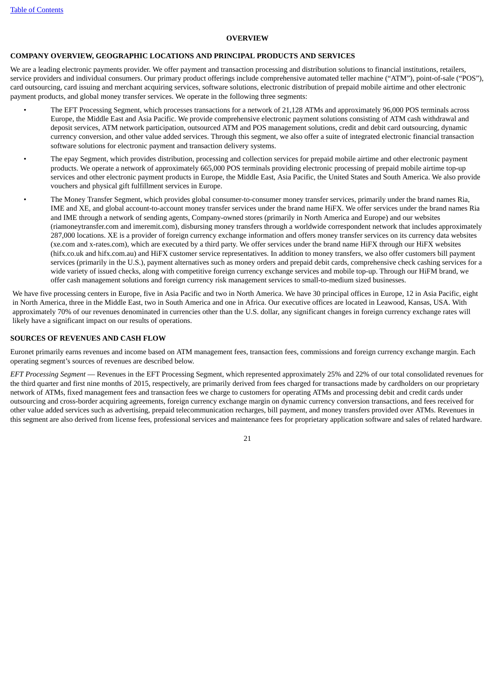### **OVERVIEW**

# **COMPANY OVERVIEW, GEOGRAPHIC LOCATIONS AND PRINCIPAL PRODUCTS AND SERVICES**

We are a leading electronic payments provider. We offer payment and transaction processing and distribution solutions to financial institutions, retailers, service providers and individual consumers. Our primary product offerings include comprehensive automated teller machine ("ATM"), point-of-sale ("POS"), card outsourcing, card issuing and merchant acquiring services, software solutions, electronic distribution of prepaid mobile airtime and other electronic payment products, and global money transfer services. We operate in the following three segments:

- The EFT Processing Segment, which processes transactions for a network of 21,128 ATMs and approximately 96,000 POS terminals across Europe, the Middle East and Asia Pacific. We provide comprehensive electronic payment solutions consisting of ATM cash withdrawal and deposit services, ATM network participation, outsourced ATM and POS management solutions, credit and debit card outsourcing, dynamic currency conversion, and other value added services. Through this segment, we also offer a suite of integrated electronic financial transaction software solutions for electronic payment and transaction delivery systems.
- The epay Segment, which provides distribution, processing and collection services for prepaid mobile airtime and other electronic payment products. We operate a network of approximately 665,000 POS terminals providing electronic processing of prepaid mobile airtime top-up services and other electronic payment products in Europe, the Middle East, Asia Pacific, the United States and South America. We also provide vouchers and physical gift fulfillment services in Europe.
- The Money Transfer Segment, which provides global consumer-to-consumer money transfer services, primarily under the brand names Ria, IME and XE, and global account-to-account money transfer services under the brand name HiFX. We offer services under the brand names Ria and IME through a network of sending agents, Company-owned stores (primarily in North America and Europe) and our websites (riamoneytransfer.com and imeremit.com), disbursing money transfers through a worldwide correspondent network that includes approximately 287,000 locations. XE is a provider of foreign currency exchange information and offers money transfer services on its currency data websites (xe.com and x-rates.com), which are executed by a third party. We offer services under the brand name HiFX through our HiFX websites (hifx.co.uk and hifx.com.au) and HiFX customer service representatives. In addition to money transfers, we also offer customers bill payment services (primarily in the U.S.), payment alternatives such as money orders and prepaid debit cards, comprehensive check cashing services for a wide variety of issued checks, along with competitive foreign currency exchange services and mobile top-up. Through our HiFM brand, we offer cash management solutions and foreign currency risk management services to small-to-medium sized businesses.

We have five processing centers in Europe, five in Asia Pacific and two in North America. We have 30 principal offices in Europe, 12 in Asia Pacific, eight in North America, three in the Middle East, two in South America and one in Africa. Our executive offices are located in Leawood, Kansas, USA. With approximately 70% of our revenues denominated in currencies other than the U.S. dollar, any significant changes in foreign currency exchange rates will likely have a significant impact on our results of operations.

# **SOURCES OF REVENUES AND CASH FLOW**

Euronet primarily earns revenues and income based on ATM management fees, transaction fees, commissions and foreign currency exchange margin. Each operating segment's sources of revenues are described below.

*EFT Processing Segment* — Revenues in the EFT Processing Segment, which represented approximately 25% and 22% of our total consolidated revenues for the third quarter and first nine months of 2015, respectively, are primarily derived from fees charged for transactions made by cardholders on our proprietary network of ATMs, fixed management fees and transaction fees we charge to customers for operating ATMs and processing debit and credit cards under outsourcing and cross-border acquiring agreements, foreign currency exchange margin on dynamic currency conversion transactions, and fees received for other value added services such as advertising, prepaid telecommunication recharges, bill payment, and money transfers provided over ATMs. Revenues in this segment are also derived from license fees, professional services and maintenance fees for proprietary application software and sales of related hardware.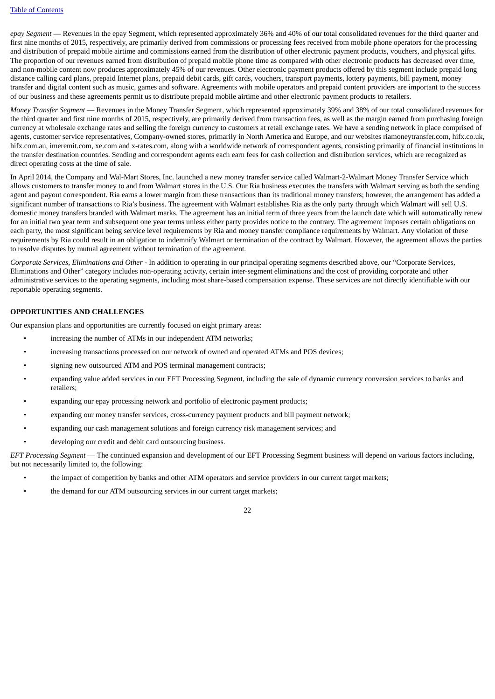*epay Segment* — Revenues in the epay Segment, which represented approximately 36% and 40% of our total consolidated revenues for the third quarter and first nine months of 2015, respectively, are primarily derived from commissions or processing fees received from mobile phone operators for the processing and distribution of prepaid mobile airtime and commissions earned from the distribution of other electronic payment products, vouchers, and physical gifts. The proportion of our revenues earned from distribution of prepaid mobile phone time as compared with other electronic products has decreased over time, and non-mobile content now produces approximately 45% of our revenues. Other electronic payment products offered by this segment include prepaid long distance calling card plans, prepaid Internet plans, prepaid debit cards, gift cards, vouchers, transport payments, lottery payments, bill payment, money transfer and digital content such as music, games and software. Agreements with mobile operators and prepaid content providers are important to the success of our business and these agreements permit us to distribute prepaid mobile airtime and other electronic payment products to retailers.

*Money Transfer Segment* — Revenues in the Money Transfer Segment, which represented approximately 39% and 38% of our total consolidated revenues for the third quarter and first nine months of 2015, respectively, are primarily derived from transaction fees, as well as the margin earned from purchasing foreign currency at wholesale exchange rates and selling the foreign currency to customers at retail exchange rates. We have a sending network in place comprised of agents, customer service representatives, Company-owned stores, primarily in North America and Europe, and our websites riamoneytransfer.com, hifx.co.uk, hifx.com.au, imeremit.com, xe.com and x-rates.com, along with a worldwide network of correspondent agents, consisting primarily of financial institutions in the transfer destination countries. Sending and correspondent agents each earn fees for cash collection and distribution services, which are recognized as direct operating costs at the time of sale.

In April 2014, the Company and Wal-Mart Stores, Inc. launched a new money transfer service called Walmart-2-Walmart Money Transfer Service which allows customers to transfer money to and from Walmart stores in the U.S. Our Ria business executes the transfers with Walmart serving as both the sending agent and payout correspondent. Ria earns a lower margin from these transactions than its traditional money transfers; however, the arrangement has added a significant number of transactions to Ria's business. The agreement with Walmart establishes Ria as the only party through which Walmart will sell U.S. domestic money transfers branded with Walmart marks. The agreement has an initial term of three years from the launch date which will automatically renew for an initial two year term and subsequent one year terms unless either party provides notice to the contrary. The agreement imposes certain obligations on each party, the most significant being service level requirements by Ria and money transfer compliance requirements by Walmart. Any violation of these requirements by Ria could result in an obligation to indemnify Walmart or termination of the contract by Walmart. However, the agreement allows the parties to resolve disputes by mutual agreement without termination of the agreement.

*Corporate Services, Eliminations and Other* - In addition to operating in our principal operating segments described above, our "Corporate Services, Eliminations and Other" category includes non-operating activity, certain inter-segment eliminations and the cost of providing corporate and other administrative services to the operating segments, including most share-based compensation expense. These services are not directly identifiable with our reportable operating segments.

#### **OPPORTUNITIES AND CHALLENGES**

Our expansion plans and opportunities are currently focused on eight primary areas:

- increasing the number of ATMs in our independent ATM networks;
- increasing transactions processed on our network of owned and operated ATMs and POS devices;
- signing new outsourced ATM and POS terminal management contracts;
- expanding value added services in our EFT Processing Segment, including the sale of dynamic currency conversion services to banks and retailers;
- expanding our epay processing network and portfolio of electronic payment products;
- expanding our money transfer services, cross-currency payment products and bill payment network;
- expanding our cash management solutions and foreign currency risk management services; and
- developing our credit and debit card outsourcing business.

*EFT Processing Segment* — The continued expansion and development of our EFT Processing Segment business will depend on various factors including, but not necessarily limited to, the following:

- the impact of competition by banks and other ATM operators and service providers in our current target markets;
- the demand for our ATM outsourcing services in our current target markets;

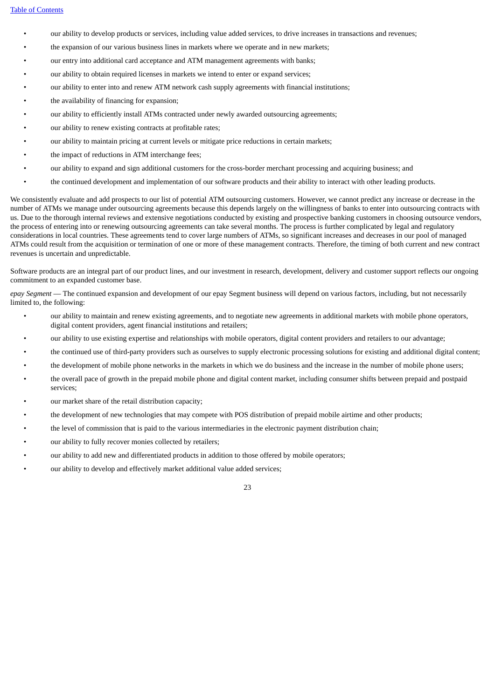- our ability to develop products or services, including value added services, to drive increases in transactions and revenues;
- the expansion of our various business lines in markets where we operate and in new markets;
- our entry into additional card acceptance and ATM management agreements with banks;
- our ability to obtain required licenses in markets we intend to enter or expand services;
- our ability to enter into and renew ATM network cash supply agreements with financial institutions;
- the availability of financing for expansion;
- our ability to efficiently install ATMs contracted under newly awarded outsourcing agreements;
- our ability to renew existing contracts at profitable rates;
- our ability to maintain pricing at current levels or mitigate price reductions in certain markets;
- the impact of reductions in ATM interchange fees;
- our ability to expand and sign additional customers for the cross-border merchant processing and acquiring business; and
- the continued development and implementation of our software products and their ability to interact with other leading products.

We consistently evaluate and add prospects to our list of potential ATM outsourcing customers. However, we cannot predict any increase or decrease in the number of ATMs we manage under outsourcing agreements because this depends largely on the willingness of banks to enter into outsourcing contracts with us. Due to the thorough internal reviews and extensive negotiations conducted by existing and prospective banking customers in choosing outsource vendors, the process of entering into or renewing outsourcing agreements can take several months. The process is further complicated by legal and regulatory considerations in local countries. These agreements tend to cover large numbers of ATMs, so significant increases and decreases in our pool of managed ATMs could result from the acquisition or termination of one or more of these management contracts. Therefore, the timing of both current and new contract revenues is uncertain and unpredictable.

Software products are an integral part of our product lines, and our investment in research, development, delivery and customer support reflects our ongoing commitment to an expanded customer base.

*epay Segment* — The continued expansion and development of our epay Segment business will depend on various factors, including, but not necessarily limited to, the following:

- our ability to maintain and renew existing agreements, and to negotiate new agreements in additional markets with mobile phone operators, digital content providers, agent financial institutions and retailers;
- our ability to use existing expertise and relationships with mobile operators, digital content providers and retailers to our advantage;
- the continued use of third-party providers such as ourselves to supply electronic processing solutions for existing and additional digital content;
- the development of mobile phone networks in the markets in which we do business and the increase in the number of mobile phone users;
- the overall pace of growth in the prepaid mobile phone and digital content market, including consumer shifts between prepaid and postpaid services;
- our market share of the retail distribution capacity;
- the development of new technologies that may compete with POS distribution of prepaid mobile airtime and other products;
- the level of commission that is paid to the various intermediaries in the electronic payment distribution chain;
- our ability to fully recover monies collected by retailers;
- our ability to add new and differentiated products in addition to those offered by mobile operators;
- our ability to develop and effectively market additional value added services;

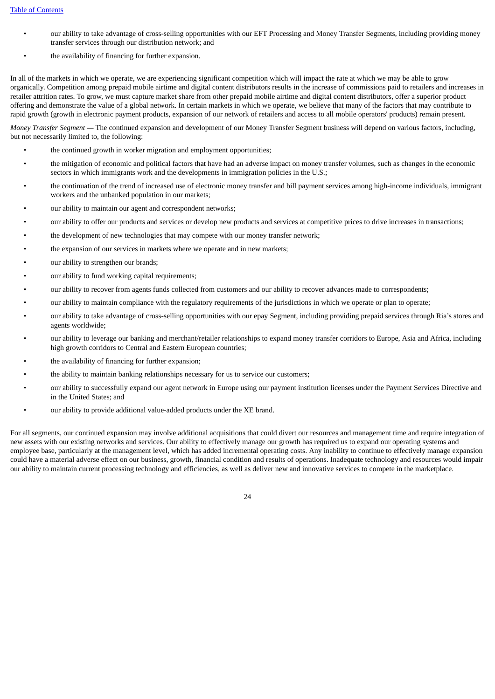- our ability to take advantage of cross-selling opportunities with our EFT Processing and Money Transfer Segments, including providing money transfer services through our distribution network; and
- the availability of financing for further expansion.

In all of the markets in which we operate, we are experiencing significant competition which will impact the rate at which we may be able to grow organically. Competition among prepaid mobile airtime and digital content distributors results in the increase of commissions paid to retailers and increases in retailer attrition rates. To grow, we must capture market share from other prepaid mobile airtime and digital content distributors, offer a superior product offering and demonstrate the value of a global network. In certain markets in which we operate, we believe that many of the factors that may contribute to rapid growth (growth in electronic payment products, expansion of our network of retailers and access to all mobile operators' products) remain present.

*Money Transfer Segment —* The continued expansion and development of our Money Transfer Segment business will depend on various factors, including, but not necessarily limited to, the following:

- the continued growth in worker migration and employment opportunities;
- the mitigation of economic and political factors that have had an adverse impact on money transfer volumes, such as changes in the economic sectors in which immigrants work and the developments in immigration policies in the U.S.;
- the continuation of the trend of increased use of electronic money transfer and bill payment services among high-income individuals, immigrant workers and the unbanked population in our markets;
- our ability to maintain our agent and correspondent networks;
- our ability to offer our products and services or develop new products and services at competitive prices to drive increases in transactions;
- the development of new technologies that may compete with our money transfer network;
- the expansion of our services in markets where we operate and in new markets;
- our ability to strengthen our brands;
- our ability to fund working capital requirements;
- our ability to recover from agents funds collected from customers and our ability to recover advances made to correspondents;
- our ability to maintain compliance with the regulatory requirements of the jurisdictions in which we operate or plan to operate;
- our ability to take advantage of cross-selling opportunities with our epay Segment, including providing prepaid services through Ria's stores and agents worldwide;
- our ability to leverage our banking and merchant/retailer relationships to expand money transfer corridors to Europe, Asia and Africa, including high growth corridors to Central and Eastern European countries;
- the availability of financing for further expansion;
- the ability to maintain banking relationships necessary for us to service our customers;
- our ability to successfully expand our agent network in Europe using our payment institution licenses under the Payment Services Directive and in the United States; and
- our ability to provide additional value-added products under the XE brand.

For all segments, our continued expansion may involve additional acquisitions that could divert our resources and management time and require integration of new assets with our existing networks and services. Our ability to effectively manage our growth has required us to expand our operating systems and employee base, particularly at the management level, which has added incremental operating costs. Any inability to continue to effectively manage expansion could have a material adverse effect on our business, growth, financial condition and results of operations. Inadequate technology and resources would impair our ability to maintain current processing technology and efficiencies, as well as deliver new and innovative services to compete in the marketplace.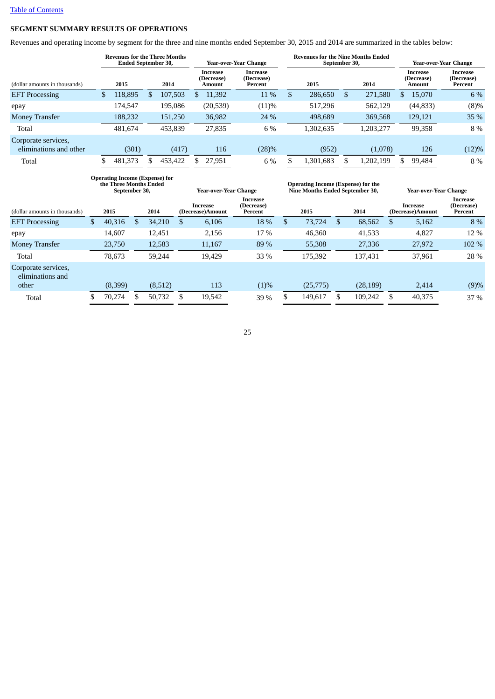# **SEGMENT SUMMARY RESULTS OF OPERATIONS**

Revenues and operating income by segment for the three and nine months ended September 30, 2015 and 2014 are summarized in the tables below:

|                                               | <b>Revenues for the Three Months</b><br><b>Ended September 30,</b> |   |         | <b>Year-over-Year Change</b> |                                  |  |                                   |              | <b>Revenues for the Nine Months Ended</b><br>September 30, |     |           |                                  | Year-over-Year Change             |  |  |
|-----------------------------------------------|--------------------------------------------------------------------|---|---------|------------------------------|----------------------------------|--|-----------------------------------|--------------|------------------------------------------------------------|-----|-----------|----------------------------------|-----------------------------------|--|--|
| (dollar amounts in thousands)                 | 2015                                                               |   | 2014    |                              | Increase<br>(Decrease)<br>Amount |  | Increase<br>(Decrease)<br>Percent |              | 2015                                                       |     | 2014      | Increase<br>(Decrease)<br>Amount | Increase<br>(Decrease)<br>Percent |  |  |
| <b>EFT</b> Processing                         | \$<br>118,895                                                      | S | 107,503 | \$.                          | 11,392                           |  | 11 %                              | $\mathbb{S}$ | 286,650                                                    | \$. | 271,580   | 15,070                           | 6 %                               |  |  |
| epay                                          | 174,547                                                            |   | 195,086 |                              | (20, 539)                        |  | (11)%                             |              | 517,296                                                    |     | 562,129   | (44, 833)                        | $(8)\%$                           |  |  |
| <b>Money Transfer</b>                         | 188,232                                                            |   | 151,250 |                              | 36,982                           |  | 24 %                              |              | 498,689                                                    |     | 369,568   | 129,121                          | 35 %                              |  |  |
| Total                                         | 481.674                                                            |   | 453,839 |                              | 27,835                           |  | 6 %                               |              | 1,302,635                                                  |     | 1,203,277 | 99,358                           | 8 %                               |  |  |
| Corporate services,<br>eliminations and other | (301)                                                              |   | (417)   |                              | 116                              |  | (28)%                             |              | (952)                                                      |     | (1,078)   | 126                              | (12)%                             |  |  |
| Total                                         | 481,373                                                            |   | 453,422 |                              | 27,951                           |  | 6 %                               |              | 1,301,683                                                  |     | 1,202,199 | 99,484                           | 8 %                               |  |  |

|                                         | the Three Months Ended<br>September 30, | <b>Operating Income (Expense) for</b> |     | Year-over-Year Change        |                                   | <b>Operating Income (Expense) for the</b><br>Nine Months Ended September 30, |     |           |     | Year-over-Year Change        |                                   |  |  |
|-----------------------------------------|-----------------------------------------|---------------------------------------|-----|------------------------------|-----------------------------------|------------------------------------------------------------------------------|-----|-----------|-----|------------------------------|-----------------------------------|--|--|
| (dollar amounts in thousands)           | 2015                                    | 2014                                  |     | Increase<br>(Decrease)Amount | Increase<br>(Decrease)<br>Percent | 2015                                                                         |     | 2014      |     | Increase<br>(Decrease)Amount | Increase<br>(Decrease)<br>Percent |  |  |
| <b>EFT</b> Processing                   | \$<br>40,316                            | 34,210                                | \$. | 6,106                        | 18 %                              | \$<br>73,724                                                                 | -\$ | 68,562    | \$. | 5,162                        | 8 %                               |  |  |
| epay                                    | 14.607                                  | 12,451                                |     | 2,156                        | 17 %                              | 46,360                                                                       |     | 41,533    |     | 4,827                        | 12 %                              |  |  |
| <b>Money Transfer</b>                   | 23,750                                  | 12,583                                |     | 11,167                       | 89 %                              | 55,308                                                                       |     | 27,336    |     | 27,972                       | 102 %                             |  |  |
| Total                                   | 78.673                                  | 59.244                                |     | 19,429                       | 33 %                              | 175,392                                                                      |     | 137,431   |     | 37,961                       | 28 %                              |  |  |
| Corporate services,<br>eliminations and |                                         |                                       |     |                              |                                   |                                                                              |     |           |     |                              |                                   |  |  |
| other                                   | (8,399)                                 | (8,512)                               |     | 113                          | (1)%                              | (25, 775)                                                                    |     | (28, 189) |     | 2,414                        | (9)%                              |  |  |
| Total                                   | 70.274                                  | 50.732                                |     | 19.542                       | 39 %                              | 149.617                                                                      |     | 109.242   | \$. | 40,375                       | $37\%$                            |  |  |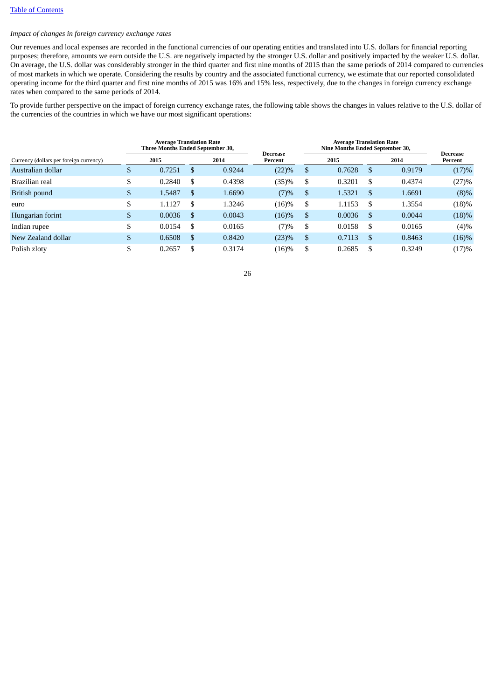#### Table of [Contents](#page-0-0)

### *Impact of changes in foreign currency exchange rates*

Our revenues and local expenses are recorded in the functional currencies of our operating entities and translated into U.S. dollars for financial reporting purposes; therefore, amounts we earn outside the U.S. are negatively impacted by the stronger U.S. dollar and positively impacted by the weaker U.S. dollar. On average, the U.S. dollar was considerably stronger in the third quarter and first nine months of 2015 than the same periods of 2014 compared to currencies of most markets in which we operate. Considering the results by country and the associated functional currency, we estimate that our reported consolidated operating income for the third quarter and first nine months of 2015 was 16% and 15% less, respectively, due to the changes in foreign currency exchange rates when compared to the same periods of 2014.

To provide further perspective on the impact of foreign currency exchange rates, the following table shows the changes in values relative to the U.S. dollar of the currencies of the countries in which we have our most significant operations:

|                                         |   | <b>Average Translation Rate</b><br><b>Three Months Ended September 30,</b> |     |        |                     |    | <b>Average Translation Rate</b><br>Nine Months Ended September 30, |               |        |                            |
|-----------------------------------------|---|----------------------------------------------------------------------------|-----|--------|---------------------|----|--------------------------------------------------------------------|---------------|--------|----------------------------|
| Currency (dollars per foreign currency) |   | 2015                                                                       |     | 2014   | Decrease<br>Percent |    | 2015                                                               |               | 2014   | <b>Decrease</b><br>Percent |
| Australian dollar                       |   | 0.7251                                                                     | \$  | 0.9244 | (22)%               | \$ | 0.7628                                                             | S             | 0.9179 | (17)%                      |
| Brazilian real                          |   | 0.2840                                                                     | S   | 0.4398 | (35)%               | \$ | 0.3201                                                             | S             | 0.4374 | (27)%                      |
| British pound                           | D | 1.5487                                                                     | S   | 1.6690 | (7)%                | \$ | 1.5321                                                             | <sup>\$</sup> | 1.6691 | $(8)\%$                    |
| euro                                    |   | 1.1127                                                                     | \$. | 1.3246 | (16)%               | \$ | 1.1153                                                             | S             | 1.3554 | (18)%                      |
| Hungarian forint                        |   | 0.0036                                                                     | S   | 0.0043 | (16)%               | \$ | 0.0036                                                             | \$            | 0.0044 | (18)%                      |
| Indian rupee                            |   | 0.0154                                                                     | \$  | 0.0165 | (7)%                | \$ | 0.0158                                                             | \$            | 0.0165 | (4)%                       |
| New Zealand dollar                      |   | 0.6508                                                                     | S   | 0.8420 | (23)%               | \$ | 0.7113                                                             | \$            | 0.8463 | (16)%                      |
| Polish zloty                            |   | 0.2657                                                                     | S   | 0.3174 | (16)%               | S. | 0.2685                                                             | \$            | 0.3249 | (17)%                      |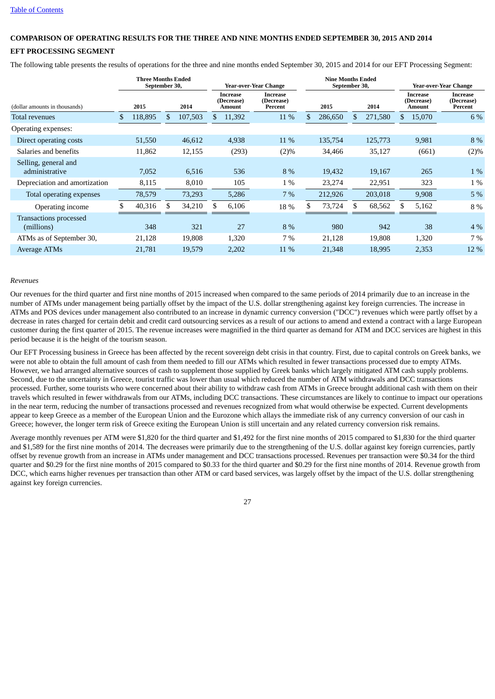#### **COMPARISON OF OPERATING RESULTS FOR THE THREE AND NINE MONTHS ENDED SEPTEMBER 30, 2015 AND 2014**

### **EFT PROCESSING SEGMENT**

The following table presents the results of operations for the three and nine months ended September 30, 2015 and 2014 for our EFT Processing Segment:

|                                             | <b>Three Months Ended</b><br>September 30, |         |     |         |    |                                  | <b>Year-over-Year Change</b>             |     | <b>Nine Months Ended</b><br>September 30, |     |         | Year-over-Year Change |                                  |                                   |  |
|---------------------------------------------|--------------------------------------------|---------|-----|---------|----|----------------------------------|------------------------------------------|-----|-------------------------------------------|-----|---------|-----------------------|----------------------------------|-----------------------------------|--|
| (dollar amounts in thousands)               |                                            | 2015    |     | 2014    |    | Increase<br>(Decrease)<br>Amount | <b>Increase</b><br>(Decrease)<br>Percent |     | 2015                                      |     | 2014    |                       | Increase<br>(Decrease)<br>Amount | Increase<br>(Decrease)<br>Percent |  |
| Total revenues                              | \$.                                        | 118,895 | \$. | 107,503 | S. | 11,392                           | 11 %                                     | \$. | 286,650                                   | \$. | 271,580 | \$.                   | 15,070                           | 6 %                               |  |
| Operating expenses:                         |                                            |         |     |         |    |                                  |                                          |     |                                           |     |         |                       |                                  |                                   |  |
| Direct operating costs                      |                                            | 51,550  |     | 46,612  |    | 4,938                            | 11 %                                     |     | 135,754                                   |     | 125,773 |                       | 9,981                            | 8 %                               |  |
| Salaries and benefits                       |                                            | 11,862  |     | 12,155  |    | (293)                            | (2)%                                     |     | 34,466                                    |     | 35,127  |                       | (661)                            | (2)%                              |  |
| Selling, general and<br>administrative      |                                            | 7,052   |     | 6,516   |    | 536                              | 8 %                                      |     | 19,432                                    |     | 19,167  |                       | 265                              | 1 %                               |  |
| Depreciation and amortization               |                                            | 8,115   |     | 8,010   |    | 105                              | 1%                                       |     | 23,274                                    |     | 22,951  |                       | 323                              | 1 %                               |  |
| Total operating expenses                    |                                            | 78,579  |     | 73,293  |    | 5,286                            | 7%                                       |     | 212,926                                   |     | 203,018 |                       | 9,908                            | 5 %                               |  |
| Operating income                            | S.                                         | 40,316  |     | 34,210  |    | 6,106                            | 18 %                                     |     | 73,724                                    | S.  | 68,562  |                       | 5,162                            | 8 %                               |  |
| <b>Transactions processed</b><br>(millions) |                                            | 348     |     | 321     |    | 27                               | 8 %                                      |     | 980                                       |     | 942     |                       | 38                               | 4%                                |  |
| ATMs as of September 30,                    |                                            | 21,128  |     | 19,808  |    | 1,320                            | $7\%$                                    |     | 21,128                                    |     | 19,808  |                       | 1,320                            | 7%                                |  |
| Average ATMs                                |                                            | 21,781  |     | 19,579  |    | 2,202                            | 11 %                                     |     | 21,348                                    |     | 18,995  |                       | 2,353                            | 12 %                              |  |

#### *Revenues*

Our revenues for the third quarter and first nine months of 2015 increased when compared to the same periods of 2014 primarily due to an increase in the number of ATMs under management being partially offset by the impact of the U.S. dollar strengthening against key foreign currencies. The increase in ATMs and POS devices under management also contributed to an increase in dynamic currency conversion ("DCC") revenues which were partly offset by a decrease in rates charged for certain debit and credit card outsourcing services as a result of our actions to amend and extend a contract with a large European customer during the first quarter of 2015. The revenue increases were magnified in the third quarter as demand for ATM and DCC services are highest in this period because it is the height of the tourism season.

Our EFT Processing business in Greece has been affected by the recent sovereign debt crisis in that country. First, due to capital controls on Greek banks, we were not able to obtain the full amount of cash from them needed to fill our ATMs which resulted in fewer transactions processed due to empty ATMs. However, we had arranged alternative sources of cash to supplement those supplied by Greek banks which largely mitigated ATM cash supply problems. Second, due to the uncertainty in Greece, tourist traffic was lower than usual which reduced the number of ATM withdrawals and DCC transactions processed. Further, some tourists who were concerned about their ability to withdraw cash from ATMs in Greece brought additional cash with them on their travels which resulted in fewer withdrawals from our ATMs, including DCC transactions. These circumstances are likely to continue to impact our operations in the near term, reducing the number of transactions processed and revenues recognized from what would otherwise be expected. Current developments appear to keep Greece as a member of the European Union and the Eurozone which allays the immediate risk of any currency conversion of our cash in Greece; however, the longer term risk of Greece exiting the European Union is still uncertain and any related currency conversion risk remains.

Average monthly revenues per ATM were \$1,820 for the third quarter and \$1,492 for the first nine months of 2015 compared to \$1,830 for the third quarter and \$1,589 for the first nine months of 2014. The decreases were primarily due to the strengthening of the U.S. dollar against key foreign currencies, partly offset by revenue growth from an increase in ATMs under management and DCC transactions processed. Revenues per transaction were \$0.34 for the third quarter and \$0.29 for the first nine months of 2015 compared to \$0.33 for the third quarter and \$0.29 for the first nine months of 2014. Revenue growth from DCC, which earns higher revenues per transaction than other ATM or card based services, was largely offset by the impact of the U.S. dollar strengthening against key foreign currencies.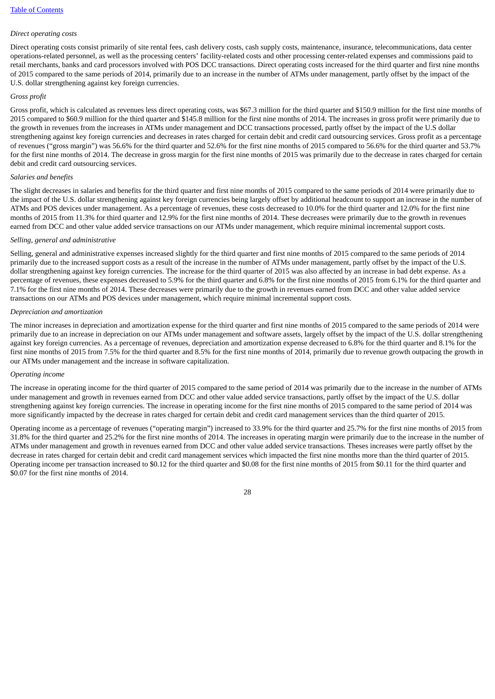#### *Direct operating costs*

Direct operating costs consist primarily of site rental fees, cash delivery costs, cash supply costs, maintenance, insurance, telecommunications, data center operations-related personnel, as well as the processing centers' facility-related costs and other processing center-related expenses and commissions paid to retail merchants, banks and card processors involved with POS DCC transactions. Direct operating costs increased for the third quarter and first nine months of 2015 compared to the same periods of 2014, primarily due to an increase in the number of ATMs under management, partly offset by the impact of the U.S. dollar strengthening against key foreign currencies.

#### *Gross profit*

Gross profit, which is calculated as revenues less direct operating costs, was \$67.3 million for the third quarter and \$150.9 million for the first nine months of 2015 compared to \$60.9 million for the third quarter and \$145.8 million for the first nine months of 2014. The increases in gross profit were primarily due to the growth in revenues from the increases in ATMs under management and DCC transactions processed, partly offset by the impact of the U.S dollar strengthening against key foreign currencies and decreases in rates charged for certain debit and credit card outsourcing services. Gross profit as a percentage of revenues ("gross margin") was 56.6% for the third quarter and 52.6% for the first nine months of 2015 compared to 56.6% for the third quarter and 53.7% for the first nine months of 2014. The decrease in gross margin for the first nine months of 2015 was primarily due to the decrease in rates charged for certain debit and credit card outsourcing services.

#### *Salaries and benefits*

The slight decreases in salaries and benefits for the third quarter and first nine months of 2015 compared to the same periods of 2014 were primarily due to the impact of the U.S. dollar strengthening against key foreign currencies being largely offset by additional headcount to support an increase in the number of ATMs and POS devices under management. As a percentage of revenues, these costs decreased to 10.0% for the third quarter and 12.0% for the first nine months of 2015 from 11.3% for third quarter and 12.9% for the first nine months of 2014. These decreases were primarily due to the growth in revenues earned from DCC and other value added service transactions on our ATMs under management, which require minimal incremental support costs.

#### *Selling, general and administrative*

Selling, general and administrative expenses increased slightly for the third quarter and first nine months of 2015 compared to the same periods of 2014 primarily due to the increased support costs as a result of the increase in the number of ATMs under management, partly offset by the impact of the U.S. dollar strengthening against key foreign currencies. The increase for the third quarter of 2015 was also affected by an increase in bad debt expense. As a percentage of revenues, these expenses decreased to 5.9% for the third quarter and 6.8% for the first nine months of 2015 from 6.1% for the third quarter and 7.1% for the first nine months of 2014. These decreases were primarily due to the growth in revenues earned from DCC and other value added service transactions on our ATMs and POS devices under management, which require minimal incremental support costs.

#### *Depreciation and amortization*

The minor increases in depreciation and amortization expense for the third quarter and first nine months of 2015 compared to the same periods of 2014 were primarily due to an increase in depreciation on our ATMs under management and software assets, largely offset by the impact of the U.S. dollar strengthening against key foreign currencies. As a percentage of revenues, depreciation and amortization expense decreased to 6.8% for the third quarter and 8.1% for the first nine months of 2015 from 7.5% for the third quarter and 8.5% for the first nine months of 2014, primarily due to revenue growth outpacing the growth in our ATMs under management and the increase in software capitalization.

#### *Operating income*

The increase in operating income for the third quarter of 2015 compared to the same period of 2014 was primarily due to the increase in the number of ATMs under management and growth in revenues earned from DCC and other value added service transactions, partly offset by the impact of the U.S. dollar strengthening against key foreign currencies. The increase in operating income for the first nine months of 2015 compared to the same period of 2014 was more significantly impacted by the decrease in rates charged for certain debit and credit card management services than the third quarter of 2015.

Operating income as a percentage of revenues ("operating margin") increased to 33.9% for the third quarter and 25.7% for the first nine months of 2015 from 31.8% for the third quarter and 25.2% for the first nine months of 2014. The increases in operating margin were primarily due to the increase in the number of ATMs under management and growth in revenues earned from DCC and other value added service transactions. Theses increases were partly offset by the decrease in rates charged for certain debit and credit card management services which impacted the first nine months more than the third quarter of 2015. Operating income per transaction increased to \$0.12 for the third quarter and \$0.08 for the first nine months of 2015 from \$0.11 for the third quarter and \$0.07 for the first nine months of 2014.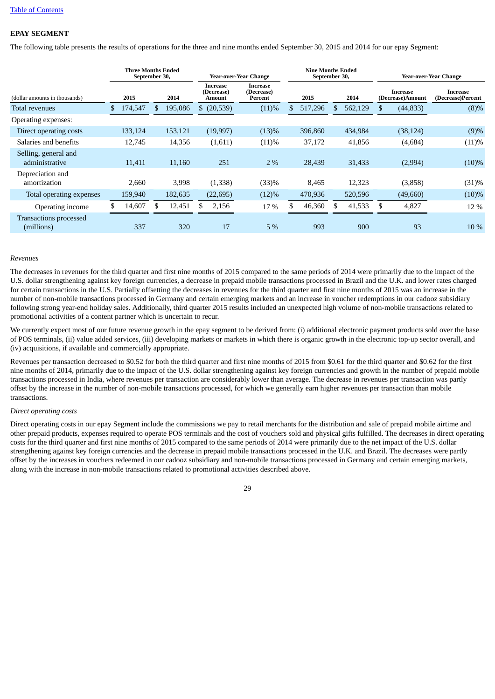# **EPAY SEGMENT**

The following table presents the results of operations for the three and nine months ended September 30, 2015 and 2014 for our epay Segment:

|                                        | <b>Three Months Ended</b><br>September 30, |                |         |                                         | Year-over-Year Change |                                   |       |      | <b>Nine Months Ended</b><br>September 30, |               | <b>Year-over-Year Change</b>        |                               |          |  |  |
|----------------------------------------|--------------------------------------------|----------------|---------|-----------------------------------------|-----------------------|-----------------------------------|-------|------|-------------------------------------------|---------------|-------------------------------------|-------------------------------|----------|--|--|
| (dollar amounts in thousands)          | 2015<br>2014                               |                |         | <b>Increase</b><br>(Decrease)<br>Amount |                       | Increase<br>(Decrease)<br>Percent |       | 2015 | 2014                                      |               | <b>Increase</b><br>(Decrease)Amount | Increase<br>(Decrease)Percent |          |  |  |
| Total revenues                         | 174,547                                    | 195,086<br>\$. |         |                                         | \$ (20,539)           |                                   | (11)% | \$.  | 517,296                                   | \$<br>562,129 | \$                                  | (44, 833)                     | (8)%     |  |  |
| Operating expenses:                    |                                            |                |         |                                         |                       |                                   |       |      |                                           |               |                                     |                               |          |  |  |
| Direct operating costs                 | 133,124                                    |                | 153,121 |                                         | (19,997)              |                                   | (13)% |      | 396,860                                   | 434,984       |                                     | (38, 124)                     | (9)%     |  |  |
| Salaries and benefits                  | 12,745                                     |                | 14,356  |                                         | (1,611)               |                                   | (11)% |      | 37,172                                    | 41,856        |                                     | (4,684)                       | (11)%    |  |  |
| Selling, general and<br>administrative | 11,411                                     |                | 11,160  |                                         | 251                   |                                   | $2\%$ |      | 28,439                                    | 31,433        |                                     | (2,994)                       | (10)%    |  |  |
| Depreciation and<br>amortization       | 2,660                                      |                | 3,998   |                                         | (1,338)               |                                   | (33)% |      | 8,465                                     | 12,323        |                                     | (3,858)                       | (31)%    |  |  |
| Total operating expenses               | 159,940                                    |                | 182,635 |                                         | (22, 695)             |                                   | (12)% |      | 470,936                                   | 520,596       |                                     | (49,660)                      | $(10)\%$ |  |  |
| Operating income                       | 14,607                                     |                | 12,451  |                                         | 2,156                 |                                   | 17 %  |      | 46,360                                    | 41,533        | \$                                  | 4,827                         | 12 %     |  |  |
| Transactions processed<br>(millions)   | 337                                        |                | 320     |                                         | 17                    |                                   | $5\%$ |      | 993                                       | 900           |                                     | 93                            | 10 %     |  |  |

#### *Revenues*

The decreases in revenues for the third quarter and first nine months of 2015 compared to the same periods of 2014 were primarily due to the impact of the U.S. dollar strengthening against key foreign currencies, a decrease in prepaid mobile transactions processed in Brazil and the U.K. and lower rates charged for certain transactions in the U.S. Partially offsetting the decreases in revenues for the third quarter and first nine months of 2015 was an increase in the number of non-mobile transactions processed in Germany and certain emerging markets and an increase in voucher redemptions in our cadooz subsidiary following strong year-end holiday sales. Additionally, third quarter 2015 results included an unexpected high volume of non-mobile transactions related to promotional activities of a content partner which is uncertain to recur.

We currently expect most of our future revenue growth in the epay segment to be derived from: (i) additional electronic payment products sold over the base of POS terminals, (ii) value added services, (iii) developing markets or markets in which there is organic growth in the electronic top-up sector overall, and (iv) acquisitions, if available and commercially appropriate.

Revenues per transaction decreased to \$0.52 for both the third quarter and first nine months of 2015 from \$0.61 for the third quarter and \$0.62 for the first nine months of 2014, primarily due to the impact of the U.S. dollar strengthening against key foreign currencies and growth in the number of prepaid mobile transactions processed in India, where revenues per transaction are considerably lower than average. The decrease in revenues per transaction was partly offset by the increase in the number of non-mobile transactions processed, for which we generally earn higher revenues per transaction than mobile transactions.

#### *Direct operating costs*

Direct operating costs in our epay Segment include the commissions we pay to retail merchants for the distribution and sale of prepaid mobile airtime and other prepaid products, expenses required to operate POS terminals and the cost of vouchers sold and physical gifts fulfilled. The decreases in direct operating costs for the third quarter and first nine months of 2015 compared to the same periods of 2014 were primarily due to the net impact of the U.S. dollar strengthening against key foreign currencies and the decrease in prepaid mobile transactions processed in the U.K. and Brazil. The decreases were partly offset by the increases in vouchers redeemed in our cadooz subsidiary and non-mobile transactions processed in Germany and certain emerging markets, along with the increase in non-mobile transactions related to promotional activities described above.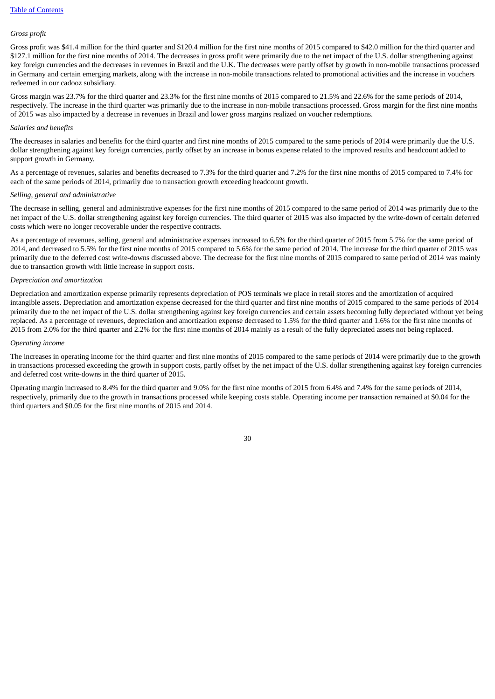#### *Gross profit*

Gross profit was \$41.4 million for the third quarter and \$120.4 million for the first nine months of 2015 compared to \$42.0 million for the third quarter and \$127.1 million for the first nine months of 2014. The decreases in gross profit were primarily due to the net impact of the U.S. dollar strengthening against key foreign currencies and the decreases in revenues in Brazil and the U.K. The decreases were partly offset by growth in non-mobile transactions processed in Germany and certain emerging markets, along with the increase in non-mobile transactions related to promotional activities and the increase in vouchers redeemed in our cadooz subsidiary.

Gross margin was 23.7% for the third quarter and 23.3% for the first nine months of 2015 compared to 21.5% and 22.6% for the same periods of 2014, respectively. The increase in the third quarter was primarily due to the increase in non-mobile transactions processed. Gross margin for the first nine months of 2015 was also impacted by a decrease in revenues in Brazil and lower gross margins realized on voucher redemptions.

#### *Salaries and benefits*

The decreases in salaries and benefits for the third quarter and first nine months of 2015 compared to the same periods of 2014 were primarily due the U.S. dollar strengthening against key foreign currencies, partly offset by an increase in bonus expense related to the improved results and headcount added to support growth in Germany.

As a percentage of revenues, salaries and benefits decreased to 7.3% for the third quarter and 7.2% for the first nine months of 2015 compared to 7.4% for each of the same periods of 2014, primarily due to transaction growth exceeding headcount growth.

#### *Selling, general and administrative*

The decrease in selling, general and administrative expenses for the first nine months of 2015 compared to the same period of 2014 was primarily due to the net impact of the U.S. dollar strengthening against key foreign currencies. The third quarter of 2015 was also impacted by the write-down of certain deferred costs which were no longer recoverable under the respective contracts.

As a percentage of revenues, selling, general and administrative expenses increased to 6.5% for the third quarter of 2015 from 5.7% for the same period of 2014, and decreased to 5.5% for the first nine months of 2015 compared to 5.6% for the same period of 2014. The increase for the third quarter of 2015 was primarily due to the deferred cost write-downs discussed above. The decrease for the first nine months of 2015 compared to same period of 2014 was mainly due to transaction growth with little increase in support costs.

#### *Depreciation and amortization*

Depreciation and amortization expense primarily represents depreciation of POS terminals we place in retail stores and the amortization of acquired intangible assets. Depreciation and amortization expense decreased for the third quarter and first nine months of 2015 compared to the same periods of 2014 primarily due to the net impact of the U.S. dollar strengthening against key foreign currencies and certain assets becoming fully depreciated without yet being replaced. As a percentage of revenues, depreciation and amortization expense decreased to 1.5% for the third quarter and 1.6% for the first nine months of 2015 from 2.0% for the third quarter and 2.2% for the first nine months of 2014 mainly as a result of the fully depreciated assets not being replaced.

#### *Operating income*

The increases in operating income for the third quarter and first nine months of 2015 compared to the same periods of 2014 were primarily due to the growth in transactions processed exceeding the growth in support costs, partly offset by the net impact of the U.S. dollar strengthening against key foreign currencies and deferred cost write-downs in the third quarter of 2015.

Operating margin increased to 8.4% for the third quarter and 9.0% for the first nine months of 2015 from 6.4% and 7.4% for the same periods of 2014, respectively, primarily due to the growth in transactions processed while keeping costs stable. Operating income per transaction remained at \$0.04 for the third quarters and \$0.05 for the first nine months of 2015 and 2014.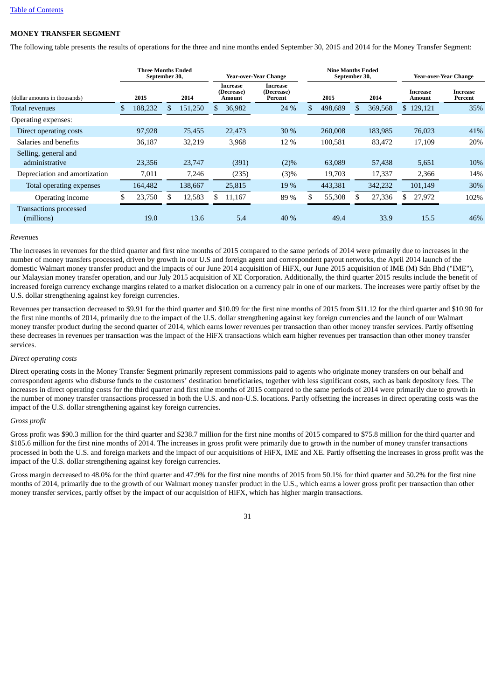# **MONEY TRANSFER SEGMENT**

The following table presents the results of operations for the three and nine months ended September 30, 2015 and 2014 for the Money Transfer Segment:

|                                             | <b>Three Months Ended</b><br>September 30, |         |    |         |                                         | Year-over-Year Change |                                   |      |    | <b>Nine Months Ended</b><br>September 30, |         | Year-over-Year Change |                    |                            |  |
|---------------------------------------------|--------------------------------------------|---------|----|---------|-----------------------------------------|-----------------------|-----------------------------------|------|----|-------------------------------------------|---------|-----------------------|--------------------|----------------------------|--|
| (dollar amounts in thousands)               |                                            | 2015    |    | 2014    | <b>Increase</b><br>(Decrease)<br>Amount |                       | Increase<br>(Decrease)<br>Percent |      |    | 2015                                      | 2014    |                       | Increase<br>Amount | <b>Increase</b><br>Percent |  |
| Total revenues                              |                                            | 188,232 | S. | 151,250 | S                                       | 36,982                |                                   | 24 % | \$ | 498,689                                   | 369,568 |                       | \$129,121          | 35%                        |  |
| Operating expenses:                         |                                            |         |    |         |                                         |                       |                                   |      |    |                                           |         |                       |                    |                            |  |
| Direct operating costs                      |                                            | 97,928  |    | 75,455  |                                         | 22,473                |                                   | 30%  |    | 260,008                                   | 183,985 |                       | 76,023             | 41%                        |  |
| Salaries and benefits                       |                                            | 36,187  |    | 32,219  |                                         | 3,968                 |                                   | 12 % |    | 100,581                                   | 83,472  |                       | 17,109             | 20%                        |  |
| Selling, general and<br>administrative      |                                            | 23,356  |    | 23,747  |                                         | (391)                 |                                   | (2)% |    | 63,089                                    | 57,438  |                       | 5,651              | 10%                        |  |
| Depreciation and amortization               |                                            | 7,011   |    | 7,246   |                                         | (235)                 |                                   | (3)% |    | 19,703                                    | 17,337  |                       | 2,366              | 14%                        |  |
| Total operating expenses                    |                                            | 164,482 |    | 138,667 |                                         | 25,815                |                                   | 19 % |    | 443,381                                   | 342,232 |                       | 101,149            | 30%                        |  |
| Operating income                            |                                            | 23,750  |    | 12,583  | SS.                                     | 11,167                |                                   | 89 % | S. | 55,308                                    | 27,336  |                       | 27,972             | 102%                       |  |
| <b>Transactions processed</b><br>(millions) |                                            | 19.0    |    | 13.6    |                                         | 5.4                   |                                   | 40 % |    | 49.4                                      | 33.9    |                       | 15.5               | 46%                        |  |

#### *Revenues*

The increases in revenues for the third quarter and first nine months of 2015 compared to the same periods of 2014 were primarily due to increases in the number of money transfers processed, driven by growth in our U.S and foreign agent and correspondent payout networks, the April 2014 launch of the domestic Walmart money transfer product and the impacts of our June 2014 acquisition of HiFX, our June 2015 acquisition of IME (M) Sdn Bhd ("IME"), our Malaysian money transfer operation, and our July 2015 acquisition of XE Corporation. Additionally, the third quarter 2015 results include the benefit of increased foreign currency exchange margins related to a market dislocation on a currency pair in one of our markets. The increases were partly offset by the U.S. dollar strengthening against key foreign currencies.

Revenues per transaction decreased to \$9.91 for the third quarter and \$10.09 for the first nine months of 2015 from \$11.12 for the third quarter and \$10.90 for the first nine months of 2014, primarily due to the impact of the U.S. dollar strengthening against key foreign currencies and the launch of our Walmart money transfer product during the second quarter of 2014, which earns lower revenues per transaction than other money transfer services. Partly offsetting these decreases in revenues per transaction was the impact of the HiFX transactions which earn higher revenues per transaction than other money transfer services.

#### *Direct operating costs*

Direct operating costs in the Money Transfer Segment primarily represent commissions paid to agents who originate money transfers on our behalf and correspondent agents who disburse funds to the customers' destination beneficiaries, together with less significant costs, such as bank depository fees. The increases in direct operating costs for the third quarter and first nine months of 2015 compared to the same periods of 2014 were primarily due to growth in the number of money transfer transactions processed in both the U.S. and non-U.S. locations. Partly offsetting the increases in direct operating costs was the impact of the U.S. dollar strengthening against key foreign currencies.

#### *Gross profit*

Gross profit was \$90.3 million for the third quarter and \$238.7 million for the first nine months of 2015 compared to \$75.8 million for the third quarter and \$185.6 million for the first nine months of 2014. The increases in gross profit were primarily due to growth in the number of money transfer transactions processed in both the U.S. and foreign markets and the impact of our acquisitions of HiFX, IME and XE. Partly offsetting the increases in gross profit was the impact of the U.S. dollar strengthening against key foreign currencies.

Gross margin decreased to 48.0% for the third quarter and 47.9% for the first nine months of 2015 from 50.1% for third quarter and 50.2% for the first nine months of 2014, primarily due to the growth of our Walmart money transfer product in the U.S., which earns a lower gross profit per transaction than other money transfer services, partly offset by the impact of our acquisition of HiFX, which has higher margin transactions.

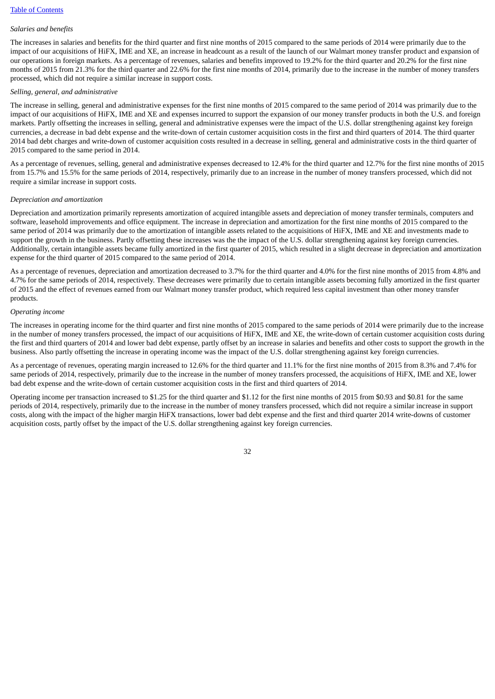#### *Salaries and benefits*

The increases in salaries and benefits for the third quarter and first nine months of 2015 compared to the same periods of 2014 were primarily due to the impact of our acquisitions of HiFX, IME and XE, an increase in headcount as a result of the launch of our Walmart money transfer product and expansion of our operations in foreign markets. As a percentage of revenues, salaries and benefits improved to 19.2% for the third quarter and 20.2% for the first nine months of 2015 from 21.3% for the third quarter and 22.6% for the first nine months of 2014, primarily due to the increase in the number of money transfers processed, which did not require a similar increase in support costs.

#### *Selling, general, and administrative*

The increase in selling, general and administrative expenses for the first nine months of 2015 compared to the same period of 2014 was primarily due to the impact of our acquisitions of HiFX, IME and XE and expenses incurred to support the expansion of our money transfer products in both the U.S. and foreign markets. Partly offsetting the increases in selling, general and administrative expenses were the impact of the U.S. dollar strengthening against key foreign currencies, a decrease in bad debt expense and the write-down of certain customer acquisition costs in the first and third quarters of 2014. The third quarter 2014 bad debt charges and write-down of customer acquisition costs resulted in a decrease in selling, general and administrative costs in the third quarter of 2015 compared to the same period in 2014.

As a percentage of revenues, selling, general and administrative expenses decreased to 12.4% for the third quarter and 12.7% for the first nine months of 2015 from 15.7% and 15.5% for the same periods of 2014, respectively, primarily due to an increase in the number of money transfers processed, which did not require a similar increase in support costs.

#### *Depreciation and amortization*

Depreciation and amortization primarily represents amortization of acquired intangible assets and depreciation of money transfer terminals, computers and software, leasehold improvements and office equipment. The increase in depreciation and amortization for the first nine months of 2015 compared to the same period of 2014 was primarily due to the amortization of intangible assets related to the acquisitions of HiFX, IME and XE and investments made to support the growth in the business. Partly offsetting these increases was the the impact of the U.S. dollar strengthening against key foreign currencies. Additionally, certain intangible assets became fully amortized in the first quarter of 2015, which resulted in a slight decrease in depreciation and amortization expense for the third quarter of 2015 compared to the same period of 2014.

As a percentage of revenues, depreciation and amortization decreased to 3.7% for the third quarter and 4.0% for the first nine months of 2015 from 4.8% and 4.7% for the same periods of 2014, respectively. These decreases were primarily due to certain intangible assets becoming fully amortized in the first quarter of 2015 and the effect of revenues earned from our Walmart money transfer product, which required less capital investment than other money transfer products.

### *Operating income*

The increases in operating income for the third quarter and first nine months of 2015 compared to the same periods of 2014 were primarily due to the increase in the number of money transfers processed, the impact of our acquisitions of HiFX, IME and XE, the write-down of certain customer acquisition costs during the first and third quarters of 2014 and lower bad debt expense, partly offset by an increase in salaries and benefits and other costs to support the growth in the business. Also partly offsetting the increase in operating income was the impact of the U.S. dollar strengthening against key foreign currencies.

As a percentage of revenues, operating margin increased to 12.6% for the third quarter and 11.1% for the first nine months of 2015 from 8.3% and 7.4% for same periods of 2014, respectively, primarily due to the increase in the number of money transfers processed, the acquisitions of HiFX, IME and XE, lower bad debt expense and the write-down of certain customer acquisition costs in the first and third quarters of 2014.

Operating income per transaction increased to \$1.25 for the third quarter and \$1.12 for the first nine months of 2015 from \$0.93 and \$0.81 for the same periods of 2014, respectively, primarily due to the increase in the number of money transfers processed, which did not require a similar increase in support costs, along with the impact of the higher margin HiFX transactions, lower bad debt expense and the first and third quarter 2014 write-downs of customer acquisition costs, partly offset by the impact of the U.S. dollar strengthening against key foreign currencies.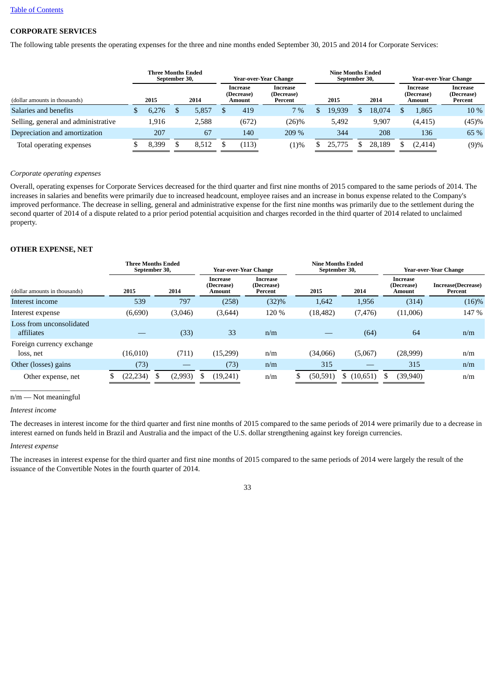# **CORPORATE SERVICES**

The following table presents the operating expenses for the three and nine months ended September 30, 2015 and 2014 for Corporate Services:

|                                     | Three Months Ended | September 30, |       |  |                                  | Year-over-Year Change             |      | <b>Nine Months Ended</b><br>September 30, |      |        | Year-over-Year Change            |                                   |  |
|-------------------------------------|--------------------|---------------|-------|--|----------------------------------|-----------------------------------|------|-------------------------------------------|------|--------|----------------------------------|-----------------------------------|--|
| (dollar amounts in thousands)       | 2015               |               | 2014  |  | Increase<br>(Decrease)<br>Amount | Increase<br>(Decrease)<br>Percent | 2015 |                                           | 2014 |        | Increase<br>(Decrease)<br>Amount | Increase<br>(Decrease)<br>Percent |  |
| Salaries and benefits               | 6,276              |               | 5,857 |  | 419                              | $7\%$                             |      | 19.939                                    |      | 18.074 | 1,865                            | 10 %                              |  |
| Selling, general and administrative | 1,916              |               | 2,588 |  | (672)                            | $(26)\%$                          |      | 5,492                                     |      | 9,907  | (4, 415)                         | (45)%                             |  |
| Depreciation and amortization       | 207                |               | 67    |  | 140                              | $209\%$                           |      | 344                                       |      | 208    | 136                              | 65 %                              |  |
| Total operating expenses            | 8.399              |               | 8.512 |  | (113)                            | (1)%                              |      | .775<br>25.7                              |      | 28.189 | (2, 414)                         | (9)%                              |  |

### *Corporate operating expenses*

Overall, operating expenses for Corporate Services decreased for the third quarter and first nine months of 2015 compared to the same periods of 2014. The increases in salaries and benefits were primarily due to increased headcount, employee raises and an increase in bonus expense related to the Company's improved performance. The decrease in selling, general and administrative expense for the first nine months was primarily due to the settlement during the second quarter of 2014 of a dispute related to a prior period potential acquisition and charges recorded in the third quarter of 2014 related to unclaimed property.

### **OTHER EXPENSE, NET**

|                                        | <b>Three Months Ended</b><br>September 30, |    |         |                                  | <b>Year-over-Year Change</b>      | <b>Nine Months Ended</b><br>September 30, |          | <b>Year-over-Year Change</b> |                                  |                               |  |
|----------------------------------------|--------------------------------------------|----|---------|----------------------------------|-----------------------------------|-------------------------------------------|----------|------------------------------|----------------------------------|-------------------------------|--|
| (dollar amounts in thousands)          | 2015                                       |    | 2014    | Increase<br>(Decrease)<br>Amount | Increase<br>(Decrease)<br>Percent | 2015                                      | 2014     |                              | Increase<br>(Decrease)<br>Amount | Increase(Decrease)<br>Percent |  |
| Interest income                        | 539                                        |    | 797     | (258)                            | (32)%                             | 1,642                                     | 1,956    |                              | (314)                            | $(16)\%$                      |  |
| Interest expense                       | (6,690)                                    |    | (3,046) | (3,644)                          | 120 %                             | (18, 482)                                 | (7, 476) |                              | (11,006)                         | 147 %                         |  |
| Loss from unconsolidated<br>affiliates |                                            |    | (33)    | 33                               | n/m                               |                                           | (64)     |                              | 64                               | n/m                           |  |
| Foreign currency exchange<br>loss, net | (16,010)                                   |    | (711)   | (15,299)                         | n/m                               | (34,066)                                  | (5,067)  |                              | (28,999)                         | n/m                           |  |
| Other (losses) gains                   | (73)                                       |    |         | (73)                             | n/m                               | 315                                       |          |                              | 315                              | n/m                           |  |
| Other expense, net                     | (22,234)                                   | .ъ | (2,993) | (19, 241)                        | n/m                               | (50, 591)                                 | (10,651) | £.                           | (39, 940)                        | n/m                           |  |

\_\_\_\_\_\_\_\_\_\_\_\_\_\_\_\_ n/m — Not meaningful

*Interest income*

The decreases in interest income for the third quarter and first nine months of 2015 compared to the same periods of 2014 were primarily due to a decrease in interest earned on funds held in Brazil and Australia and the impact of the U.S. dollar strengthening against key foreign currencies.

#### *Interest expense*

The increases in interest expense for the third quarter and first nine months of 2015 compared to the same periods of 2014 were largely the result of the issuance of the Convertible Notes in the fourth quarter of 2014.

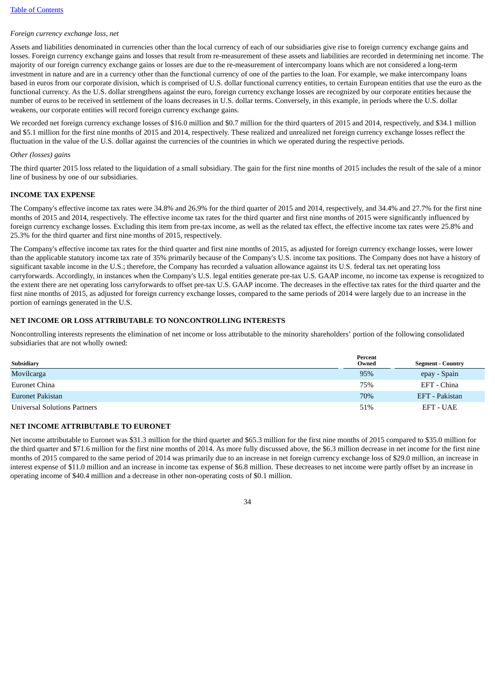# *Foreign currency exchange loss, net*

Assets and liabilities denominated in currencies other than the local currency of each of our subsidiaries give rise to foreign currency exchange gains and losses. Foreign currency exchange gains and losses that result from re-measurement of these assets and liabilities are recorded in determining net income. The majority of our foreign currency exchange gains or losses are due to the re-measurement of intercompany loans which are not considered a long-term investment in nature and are in a currency other than the functional currency of one of the parties to the loan. For example, we make intercompany loans based in euros from our corporate division, which is comprised of U.S. dollar functional currency entities, to certain European entities that use the euro as the functional currency. As the U.S. dollar strengthens against the euro, foreign currency exchange losses are recognized by our corporate entities because the number of euros to be received in settlement of the loans decreases in U.S. dollar terms. Conversely, in this example, in periods where the U.S. dollar weakens, our corporate entities will record foreign currency exchange gains.

We recorded net foreign currency exchange losses of \$16.0 million and \$0.7 million for the third quarters of 2015 and 2014, respectively, and \$34.1 million and \$5.1 million for the first nine months of 2015 and 2014, respectively. These realized and unrealized net foreign currency exchange losses reflect the fluctuation in the value of the U.S. dollar against the currencies of the countries in which we operated during the respective periods.

#### *Other (losses) gains*

The third quarter 2015 loss related to the liquidation of a small subsidiary. The gain for the first nine months of 2015 includes the result of the sale of a minor line of business by one of our subsidiaries.

#### **INCOME TAX EXPENSE**

The Company's effective income tax rates were 34.8% and 26.9% for the third quarter of 2015 and 2014, respectively, and 34.4% and 27.7% for the first nine months of 2015 and 2014, respectively. The effective income tax rates for the third quarter and first nine months of 2015 were significantly influenced by foreign currency exchange losses. Excluding this item from pre-tax income, as well as the related tax effect, the effective income tax rates were 25.8% and 25.3% for the third quarter and first nine months of 2015, respectively.

The Company's effective income tax rates for the third quarter and first nine months of 2015, as adjusted for foreign currency exchange losses, were lower than the applicable statutory income tax rate of 35% primarily because of the Company's U.S. income tax positions. The Company does not have a history of significant taxable income in the U.S.; therefore, the Company has recorded a valuation allowance against its U.S. federal tax net operating loss carryforwards. Accordingly, in instances when the Company's U.S. legal entities generate pre-tax U.S. GAAP income, no income tax expense is recognized to the extent there are net operating loss carryforwards to offset pre-tax U.S. GAAP income. The decreases in the effective tax rates for the third quarter and the first nine months of 2015, as adjusted for foreign currency exchange losses, compared to the same periods of 2014 were largely due to an increase in the portion of earnings generated in the U.S.

#### **NET INCOME OR LOSS ATTRIBUTABLE TO NONCONTROLLING INTERESTS**

Noncontrolling interests represents the elimination of net income or loss attributable to the minority shareholders' portion of the following consolidated subsidiaries that are not wholly owned:

| Subsidiary                          | Percent<br>Owned | <b>Segment - Country</b> |
|-------------------------------------|------------------|--------------------------|
| Movilcarga                          | 95%              | epay - Spain             |
| Euronet China                       | 75%              | EFT - China              |
| Euronet Pakistan                    | 70%              | EFT - Pakistan           |
| <b>Universal Solutions Partners</b> | 51%              | <b>EFT - UAE</b>         |

#### **NET INCOME ATTRIBUTABLE TO EURONET**

Net income attributable to Euronet was \$31.3 million for the third quarter and \$65.3 million for the first nine months of 2015 compared to \$35.0 million for the third quarter and \$71.6 million for the first nine months of 2014. As more fully discussed above, the \$6.3 million decrease in net income for the first nine months of 2015 compared to the same period of 2014 was primarily due to an increase in net foreign currency exchange loss of \$29.0 million, an increase in interest expense of \$11.0 million and an increase in income tax expense of \$6.8 million. These decreases to net income were partly offset by an increase in operating income of \$40.4 million and a decrease in other non-operating costs of \$0.1 million.

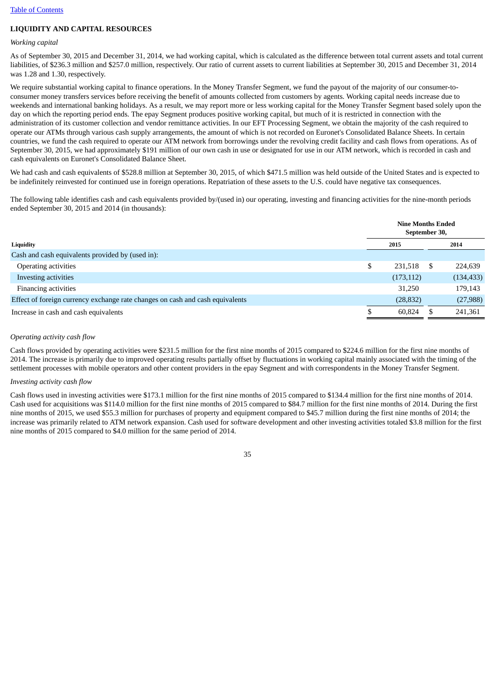# **LIQUIDITY AND CAPITAL RESOURCES**

# *Working capital*

As of September 30, 2015 and December 31, 2014, we had working capital, which is calculated as the difference between total current assets and total current liabilities, of \$236.3 million and \$257.0 million, respectively. Our ratio of current assets to current liabilities at September 30, 2015 and December 31, 2014 was 1.28 and 1.30, respectively.

We require substantial working capital to finance operations. In the Money Transfer Segment, we fund the payout of the majority of our consumer-toconsumer money transfers services before receiving the benefit of amounts collected from customers by agents. Working capital needs increase due to weekends and international banking holidays. As a result, we may report more or less working capital for the Money Transfer Segment based solely upon the day on which the reporting period ends. The epay Segment produces positive working capital, but much of it is restricted in connection with the administration of its customer collection and vendor remittance activities. In our EFT Processing Segment, we obtain the majority of the cash required to operate our ATMs through various cash supply arrangements, the amount of which is not recorded on Euronet's Consolidated Balance Sheets. In certain countries, we fund the cash required to operate our ATM network from borrowings under the revolving credit facility and cash flows from operations. As of September 30, 2015, we had approximately \$191 million of our own cash in use or designated for use in our ATM network, which is recorded in cash and cash equivalents on Euronet's Consolidated Balance Sheet.

We had cash and cash equivalents of \$528.8 million at September 30, 2015, of which \$471.5 million was held outside of the United States and is expected to be indefinitely reinvested for continued use in foreign operations. Repatriation of these assets to the U.S. could have negative tax consequences.

The following table identifies cash and cash equivalents provided by/(used in) our operating, investing and financing activities for the nine-month periods ended September 30, 2015 and 2014 (in thousands):

|                                                                               |               | <b>Nine Months Ended</b><br>September 30, |            |  |  |
|-------------------------------------------------------------------------------|---------------|-------------------------------------------|------------|--|--|
| Liquidity                                                                     | 2015          |                                           | 2014       |  |  |
| Cash and cash equivalents provided by (used in):                              |               |                                           |            |  |  |
| Operating activities                                                          | \$<br>231,518 | S                                         | 224,639    |  |  |
| Investing activities                                                          | (173, 112)    |                                           | (134, 433) |  |  |
| <b>Financing activities</b>                                                   | 31,250        |                                           | 179,143    |  |  |
| Effect of foreign currency exchange rate changes on cash and cash equivalents | (28, 832)     |                                           | (27, 988)  |  |  |
| Increase in cash and cash equivalents                                         | 60,824        | £.                                        | 241,361    |  |  |
|                                                                               |               |                                           |            |  |  |

# *Operating activity cash flow*

Cash flows provided by operating activities were \$231.5 million for the first nine months of 2015 compared to \$224.6 million for the first nine months of 2014. The increase is primarily due to improved operating results partially offset by fluctuations in working capital mainly associated with the timing of the settlement processes with mobile operators and other content providers in the epay Segment and with correspondents in the Money Transfer Segment.

# *Investing activity cash flow*

Cash flows used in investing activities were \$173.1 million for the first nine months of 2015 compared to \$134.4 million for the first nine months of 2014. Cash used for acquisitions was \$114.0 million for the first nine months of 2015 compared to \$84.7 million for the first nine months of 2014. During the first nine months of 2015, we used \$55.3 million for purchases of property and equipment compared to \$45.7 million during the first nine months of 2014; the increase was primarily related to ATM network expansion. Cash used for software development and other investing activities totaled \$3.8 million for the first nine months of 2015 compared to \$4.0 million for the same period of 2014.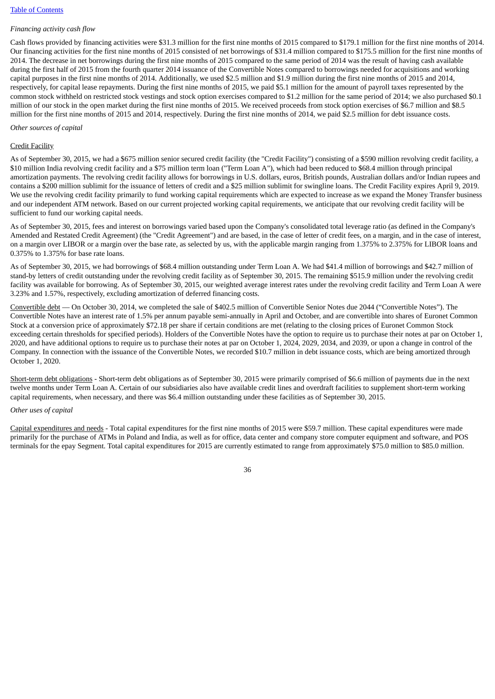#### *Financing activity cash flow*

Cash flows provided by financing activities were \$31.3 million for the first nine months of 2015 compared to \$179.1 million for the first nine months of 2014. Our financing activities for the first nine months of 2015 consisted of net borrowings of \$31.4 million compared to \$175.5 million for the first nine months of 2014. The decrease in net borrowings during the first nine months of 2015 compared to the same period of 2014 was the result of having cash available during the first half of 2015 from the fourth quarter 2014 issuance of the Convertible Notes compared to borrowings needed for acquisitions and working capital purposes in the first nine months of 2014. Additionally, we used \$2.5 million and \$1.9 million during the first nine months of 2015 and 2014, respectively, for capital lease repayments. During the first nine months of 2015, we paid \$5.1 million for the amount of payroll taxes represented by the common stock withheld on restricted stock vestings and stock option exercises compared to \$1.2 million for the same period of 2014; we also purchased \$0.1 million of our stock in the open market during the first nine months of 2015. We received proceeds from stock option exercises of \$6.7 million and \$8.5 million for the first nine months of 2015 and 2014, respectively. During the first nine months of 2014, we paid \$2.5 million for debt issuance costs.

*Other sources of capital*

#### Credit Facility

As of September 30, 2015, we had a \$675 million senior secured credit facility (the "Credit Facility") consisting of a \$590 million revolving credit facility, a \$10 million India revolving credit facility and a \$75 million term loan ("Term Loan A"), which had been reduced to \$68.4 million through principal amortization payments. The revolving credit facility allows for borrowings in U.S. dollars, euros, British pounds, Australian dollars and/or Indian rupees and contains a \$200 million sublimit for the issuance of letters of credit and a \$25 million sublimit for swingline loans. The Credit Facility expires April 9, 2019. We use the revolving credit facility primarily to fund working capital requirements which are expected to increase as we expand the Money Transfer business and our independent ATM network. Based on our current projected working capital requirements, we anticipate that our revolving credit facility will be sufficient to fund our working capital needs.

As of September 30, 2015, fees and interest on borrowings varied based upon the Company's consolidated total leverage ratio (as defined in the Company's Amended and Restated Credit Agreement) (the "Credit Agreement") and are based, in the case of letter of credit fees, on a margin, and in the case of interest, on a margin over LIBOR or a margin over the base rate, as selected by us, with the applicable margin ranging from 1.375% to 2.375% for LIBOR loans and 0.375% to 1.375% for base rate loans.

As of September 30, 2015, we had borrowings of \$68.4 million outstanding under Term Loan A. We had \$41.4 million of borrowings and \$42.7 million of stand-by letters of credit outstanding under the revolving credit facility as of September 30, 2015. The remaining \$515.9 million under the revolving credit facility was available for borrowing. As of September 30, 2015, our weighted average interest rates under the revolving credit facility and Term Loan A were 3.23% and 1.57%, respectively, excluding amortization of deferred financing costs.

Convertible debt — On October 30, 2014, we completed the sale of \$402.5 million of Convertible Senior Notes due 2044 ("Convertible Notes"). The Convertible Notes have an interest rate of 1.5% per annum payable semi-annually in April and October, and are convertible into shares of Euronet Common Stock at a conversion price of approximately \$72.18 per share if certain conditions are met (relating to the closing prices of Euronet Common Stock exceeding certain thresholds for specified periods). Holders of the Convertible Notes have the option to require us to purchase their notes at par on October 1, 2020, and have additional options to require us to purchase their notes at par on October 1, 2024, 2029, 2034, and 2039, or upon a change in control of the Company. In connection with the issuance of the Convertible Notes, we recorded \$10.7 million in debt issuance costs, which are being amortized through October 1, 2020.

Short-term debt obligations - Short-term debt obligations as of September 30, 2015 were primarily comprised of \$6.6 million of payments due in the next twelve months under Term Loan A. Certain of our subsidiaries also have available credit lines and overdraft facilities to supplement short-term working capital requirements, when necessary, and there was \$6.4 million outstanding under these facilities as of September 30, 2015.

#### *Other uses of capital*

Capital expenditures and needs - Total capital expenditures for the first nine months of 2015 were \$59.7 million. These capital expenditures were made primarily for the purchase of ATMs in Poland and India, as well as for office, data center and company store computer equipment and software, and POS terminals for the epay Segment. Total capital expenditures for 2015 are currently estimated to range from approximately \$75.0 million to \$85.0 million.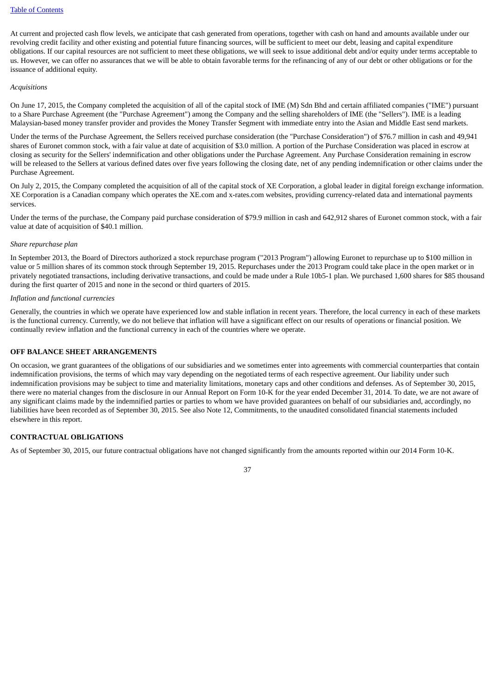At current and projected cash flow levels, we anticipate that cash generated from operations, together with cash on hand and amounts available under our revolving credit facility and other existing and potential future financing sources, will be sufficient to meet our debt, leasing and capital expenditure obligations. If our capital resources are not sufficient to meet these obligations, we will seek to issue additional debt and/or equity under terms acceptable to us. However, we can offer no assurances that we will be able to obtain favorable terms for the refinancing of any of our debt or other obligations or for the issuance of additional equity.

#### *Acquisitions*

On June 17, 2015, the Company completed the acquisition of all of the capital stock of IME (M) Sdn Bhd and certain affiliated companies ("IME") pursuant to a Share Purchase Agreement (the "Purchase Agreement") among the Company and the selling shareholders of IME (the "Sellers"). IME is a leading Malaysian-based money transfer provider and provides the Money Transfer Segment with immediate entry into the Asian and Middle East send markets.

Under the terms of the Purchase Agreement, the Sellers received purchase consideration (the "Purchase Consideration") of \$76.7 million in cash and 49,941 shares of Euronet common stock, with a fair value at date of acquisition of \$3.0 million. A portion of the Purchase Consideration was placed in escrow at closing as security for the Sellers' indemnification and other obligations under the Purchase Agreement. Any Purchase Consideration remaining in escrow will be released to the Sellers at various defined dates over five years following the closing date, net of any pending indemnification or other claims under the Purchase Agreement.

On July 2, 2015, the Company completed the acquisition of all of the capital stock of XE Corporation, a global leader in digital foreign exchange information. XE Corporation is a Canadian company which operates the XE.com and x-rates.com websites, providing currency-related data and international payments services.

Under the terms of the purchase, the Company paid purchase consideration of \$79.9 million in cash and 642,912 shares of Euronet common stock, with a fair value at date of acquisition of \$40.1 million.

#### *Share repurchase plan*

In September 2013, the Board of Directors authorized a stock repurchase program ("2013 Program") allowing Euronet to repurchase up to \$100 million in value or 5 million shares of its common stock through September 19, 2015. Repurchases under the 2013 Program could take place in the open market or in privately negotiated transactions, including derivative transactions, and could be made under a Rule 10b5-1 plan. We purchased 1,600 shares for \$85 thousand during the first quarter of 2015 and none in the second or third quarters of 2015.

#### *Inflation and functional currencies*

Generally, the countries in which we operate have experienced low and stable inflation in recent years. Therefore, the local currency in each of these markets is the functional currency. Currently, we do not believe that inflation will have a significant effect on our results of operations or financial position. We continually review inflation and the functional currency in each of the countries where we operate.

### **OFF BALANCE SHEET ARRANGEMENTS**

On occasion, we grant guarantees of the obligations of our subsidiaries and we sometimes enter into agreements with commercial counterparties that contain indemnification provisions, the terms of which may vary depending on the negotiated terms of each respective agreement. Our liability under such indemnification provisions may be subject to time and materiality limitations, monetary caps and other conditions and defenses. As of September 30, 2015, there were no material changes from the disclosure in our Annual Report on Form 10-K for the year ended December 31, 2014. To date, we are not aware of any significant claims made by the indemnified parties or parties to whom we have provided guarantees on behalf of our subsidiaries and, accordingly, no liabilities have been recorded as of September 30, 2015. See also Note 12, Commitments, to the unaudited consolidated financial statements included elsewhere in this report.

## **CONTRACTUAL OBLIGATIONS**

<span id="page-36-0"></span>As of September 30, 2015, our future contractual obligations have not changed significantly from the amounts reported within our 2014 Form 10-K.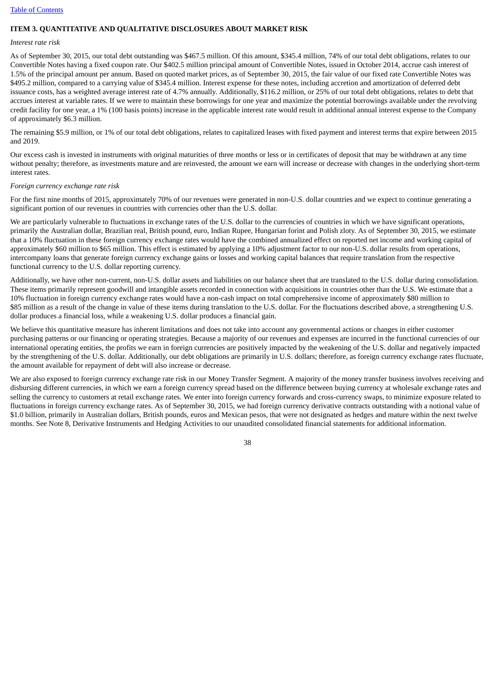# **ITEM 3. QUANTITATIVE AND QUALITATIVE DISCLOSURES ABOUT MARKET RISK**

### *Interest rate risk*

As of September 30, 2015, our total debt outstanding was \$467.5 million. Of this amount, \$345.4 million, 74% of our total debt obligations, relates to our Convertible Notes having a fixed coupon rate. Our \$402.5 million principal amount of Convertible Notes, issued in October 2014, accrue cash interest of 1.5% of the principal amount per annum. Based on quoted market prices, as of September 30, 2015, the fair value of our fixed rate Convertible Notes was \$495.2 million, compared to a carrying value of \$345.4 million. Interest expense for these notes, including accretion and amortization of deferred debt issuance costs, has a weighted average interest rate of 4.7% annually. Additionally, \$116.2 million, or 25% of our total debt obligations, relates to debt that accrues interest at variable rates. If we were to maintain these borrowings for one year and maximize the potential borrowings available under the revolving credit facility for one year, a 1% (100 basis points) increase in the applicable interest rate would result in additional annual interest expense to the Company of approximately \$6.3 million.

The remaining \$5.9 million, or 1% of our total debt obligations, relates to capitalized leases with fixed payment and interest terms that expire between 2015 and 2019.

Our excess cash is invested in instruments with original maturities of three months or less or in certificates of deposit that may be withdrawn at any time without penalty; therefore, as investments mature and are reinvested, the amount we earn will increase or decrease with changes in the underlying short-term interest rates.

## *Foreign currency exchange rate risk*

For the first nine months of 2015, approximately 70% of our revenues were generated in non-U.S. dollar countries and we expect to continue generating a significant portion of our revenues in countries with currencies other than the U.S. dollar.

We are particularly vulnerable to fluctuations in exchange rates of the U.S. dollar to the currencies of countries in which we have significant operations, primarily the Australian dollar, Brazilian real, British pound, euro, Indian Rupee, Hungarian forint and Polish zloty. As of September 30, 2015, we estimate that a 10% fluctuation in these foreign currency exchange rates would have the combined annualized effect on reported net income and working capital of approximately \$60 million to \$65 million. This effect is estimated by applying a 10% adjustment factor to our non-U.S. dollar results from operations, intercompany loans that generate foreign currency exchange gains or losses and working capital balances that require translation from the respective functional currency to the U.S. dollar reporting currency.

Additionally, we have other non-current, non-U.S. dollar assets and liabilities on our balance sheet that are translated to the U.S. dollar during consolidation. These items primarily represent goodwill and intangible assets recorded in connection with acquisitions in countries other than the U.S. We estimate that a 10% fluctuation in foreign currency exchange rates would have a non-cash impact on total comprehensive income of approximately \$80 million to \$85 million as a result of the change in value of these items during translation to the U.S. dollar. For the fluctuations described above, a strengthening U.S. dollar produces a financial loss, while a weakening U.S. dollar produces a financial gain.

We believe this quantitative measure has inherent limitations and does not take into account any governmental actions or changes in either customer purchasing patterns or our financing or operating strategies. Because a majority of our revenues and expenses are incurred in the functional currencies of our international operating entities, the profits we earn in foreign currencies are positively impacted by the weakening of the U.S. dollar and negatively impacted by the strengthening of the U.S. dollar. Additionally, our debt obligations are primarily in U.S. dollars; therefore, as foreign currency exchange rates fluctuate, the amount available for repayment of debt will also increase or decrease.

<span id="page-37-0"></span>We are also exposed to foreign currency exchange rate risk in our Money Transfer Segment. A majority of the money transfer business involves receiving and disbursing different currencies, in which we earn a foreign currency spread based on the difference between buying currency at wholesale exchange rates and selling the currency to customers at retail exchange rates. We enter into foreign currency forwards and cross-currency swaps, to minimize exposure related to fluctuations in foreign currency exchange rates. As of September 30, 2015, we had foreign currency derivative contracts outstanding with a notional value of \$1.0 billion, primarily in Australian dollars, British pounds, euros and Mexican pesos, that were not designated as hedges and mature within the next twelve months. See Note 8, Derivative Instruments and Hedging Activities to our unaudited consolidated financial statements for additional information.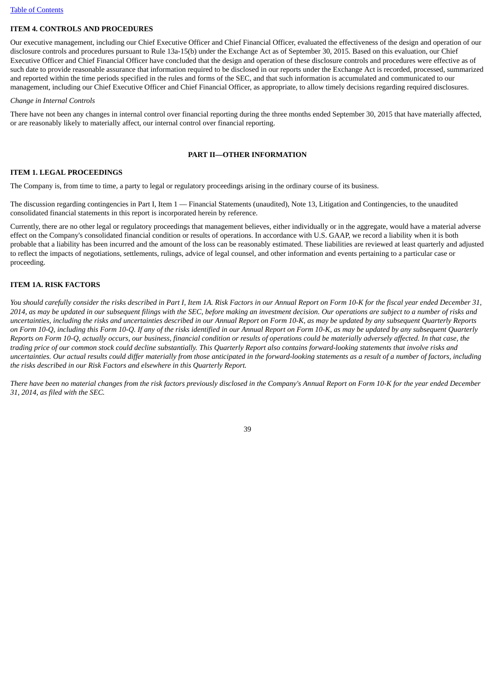# **ITEM 4. CONTROLS AND PROCEDURES**

Our executive management, including our Chief Executive Officer and Chief Financial Officer, evaluated the effectiveness of the design and operation of our disclosure controls and procedures pursuant to Rule 13a-15(b) under the Exchange Act as of September 30, 2015. Based on this evaluation, our Chief Executive Officer and Chief Financial Officer have concluded that the design and operation of these disclosure controls and procedures were effective as of such date to provide reasonable assurance that information required to be disclosed in our reports under the Exchange Act is recorded, processed, summarized and reported within the time periods specified in the rules and forms of the SEC, and that such information is accumulated and communicated to our management, including our Chief Executive Officer and Chief Financial Officer, as appropriate, to allow timely decisions regarding required disclosures.

#### *Change in Internal Controls*

There have not been any changes in internal control over financial reporting during the three months ended September 30, 2015 that have materially affected, or are reasonably likely to materially affect, our internal control over financial reporting.

#### **PART II—OTHER INFORMATION**

#### <span id="page-38-1"></span><span id="page-38-0"></span>**ITEM 1. LEGAL PROCEEDINGS**

The Company is, from time to time, a party to legal or regulatory proceedings arising in the ordinary course of its business.

The discussion regarding contingencies in Part I, Item 1 — Financial Statements (unaudited), Note 13, Litigation and Contingencies, to the unaudited consolidated financial statements in this report is incorporated herein by reference.

Currently, there are no other legal or regulatory proceedings that management believes, either individually or in the aggregate, would have a material adverse effect on the Company's consolidated financial condition or results of operations. In accordance with U.S. GAAP, we record a liability when it is both probable that a liability has been incurred and the amount of the loss can be reasonably estimated. These liabilities are reviewed at least quarterly and adjusted to reflect the impacts of negotiations, settlements, rulings, advice of legal counsel, and other information and events pertaining to a particular case or proceeding.

#### <span id="page-38-2"></span>**ITEM 1A. RISK FACTORS**

You should carefully consider the risks described in Part I, Item 1A. Risk Factors in our Annual Report on Form 10-K for the fiscal year ended December 31, 2014, as may be updated in our subsequent filings with the SEC, before making an investment decision. Our operations are subject to a number of risks and uncertainties, including the risks and uncertainties described in our Annual Report on Form 10-K, as may be updated by any subsequent Quarterly Reports on Form 10-Q, including this Form 10-Q. If any of the risks identified in our Annual Report on Form 10-K, as may be updated by any subsequent Quarterly Reports on Form 10-Q, actually occurs, our business, financial condition or results of operations could be materially adversely affected. In that case, the trading price of our common stock could decline substantially. This Quarterly Report also contains forward-looking statements that involve risks and uncertainties. Our actual results could differ materially from those anticipated in the forward-looking statements as a result of a number of factors, including *the risks described in our Risk Factors and elsewhere in this Quarterly Report.*

<span id="page-38-3"></span>There have been no material changes from the risk factors previously disclosed in the Company's Annual Report on Form 10-K for the year ended December *31, 2014, as filed with the SEC.*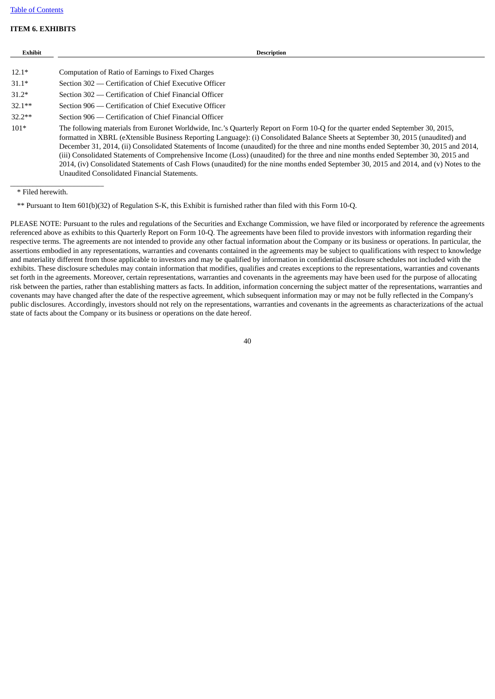#### Table of [Contents](#page-0-0)

### **ITEM 6. EXHIBITS**

| Exhibit  | <b>Description</b>                                                                                                                                                                                                                                                                                                                                                                                                                                                                                                                                                                                                                                                                                                                               |
|----------|--------------------------------------------------------------------------------------------------------------------------------------------------------------------------------------------------------------------------------------------------------------------------------------------------------------------------------------------------------------------------------------------------------------------------------------------------------------------------------------------------------------------------------------------------------------------------------------------------------------------------------------------------------------------------------------------------------------------------------------------------|
|          |                                                                                                                                                                                                                                                                                                                                                                                                                                                                                                                                                                                                                                                                                                                                                  |
| $12.1*$  | Computation of Ratio of Earnings to Fixed Charges                                                                                                                                                                                                                                                                                                                                                                                                                                                                                                                                                                                                                                                                                                |
| $31.1*$  | Section 302 — Certification of Chief Executive Officer                                                                                                                                                                                                                                                                                                                                                                                                                                                                                                                                                                                                                                                                                           |
| $31.2*$  | Section 302 — Certification of Chief Financial Officer                                                                                                                                                                                                                                                                                                                                                                                                                                                                                                                                                                                                                                                                                           |
| $32.1**$ | Section 906 — Certification of Chief Executive Officer                                                                                                                                                                                                                                                                                                                                                                                                                                                                                                                                                                                                                                                                                           |
| $32.2**$ | Section 906 — Certification of Chief Financial Officer                                                                                                                                                                                                                                                                                                                                                                                                                                                                                                                                                                                                                                                                                           |
| $101*$   | The following materials from Euronet Worldwide, Inc.'s Quarterly Report on Form 10-Q for the quarter ended September 30, 2015,<br>formatted in XBRL (eXtensible Business Reporting Language): (i) Consolidated Balance Sheets at September 30, 2015 (unaudited) and<br>December 31, 2014, (ii) Consolidated Statements of Income (unaudited) for the three and nine months ended September 30, 2015 and 2014,<br>(iii) Consolidated Statements of Comprehensive Income (Loss) (unaudited) for the three and nine months ended September 30, 2015 and<br>2014, (iv) Consolidated Statements of Cash Flows (unaudited) for the nine months ended September 30, 2015 and 2014, and (v) Notes to the<br>Unaudited Consolidated Financial Statements. |

\* Filed herewith.

\*\* Pursuant to Item 601(b)(32) of Regulation S-K, this Exhibit is furnished rather than filed with this Form 10-Q.

<span id="page-39-0"></span>PLEASE NOTE: Pursuant to the rules and regulations of the Securities and Exchange Commission, we have filed or incorporated by reference the agreements referenced above as exhibits to this Quarterly Report on Form 10-Q. The agreements have been filed to provide investors with information regarding their respective terms. The agreements are not intended to provide any other factual information about the Company or its business or operations. In particular, the assertions embodied in any representations, warranties and covenants contained in the agreements may be subject to qualifications with respect to knowledge and materiality different from those applicable to investors and may be qualified by information in confidential disclosure schedules not included with the exhibits. These disclosure schedules may contain information that modifies, qualifies and creates exceptions to the representations, warranties and covenants set forth in the agreements. Moreover, certain representations, warranties and covenants in the agreements may have been used for the purpose of allocating risk between the parties, rather than establishing matters as facts. In addition, information concerning the subject matter of the representations, warranties and covenants may have changed after the date of the respective agreement, which subsequent information may or may not be fully reflected in the Company's public disclosures. Accordingly, investors should not rely on the representations, warranties and covenants in the agreements as characterizations of the actual state of facts about the Company or its business or operations on the date hereof.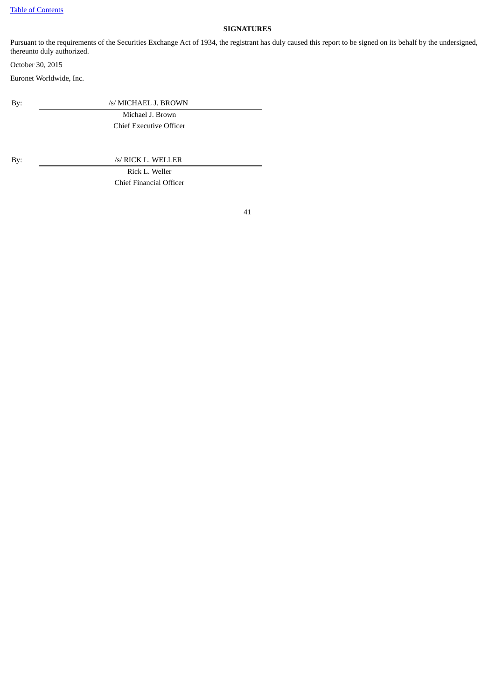### **SIGNATURES**

Pursuant to the requirements of the Securities Exchange Act of 1934, the registrant has duly caused this report to be signed on its behalf by the undersigned, thereunto duly authorized.

October 30, 2015

Euronet Worldwide, Inc.

By: /s/ MICHAEL J. BROWN Michael J. Brown Chief Executive Officer

By: /s/ RICK L. WELLER

Rick L. Weller Chief Financial Officer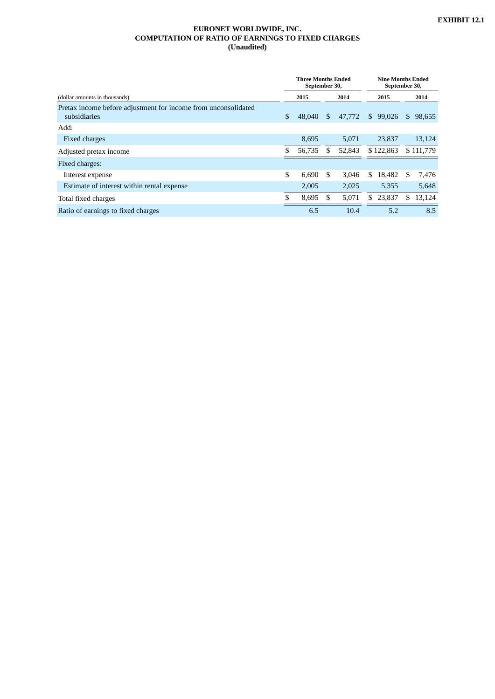#### **EURONET WORLDWIDE, INC. COMPUTATION OF RATIO OF EARNINGS TO FIXED CHARGES (Unaudited)**

|                                                                                | Three Months Ended<br>September 30, |    |        | <b>Nine Months Ended</b><br>September 30, |        |     |           |
|--------------------------------------------------------------------------------|-------------------------------------|----|--------|-------------------------------------------|--------|-----|-----------|
| (dollar amounts in thousands)                                                  | 2015                                |    | 2014   | 2015                                      |        |     | 2014      |
| Pretax income before adjustment for income from unconsolidated<br>subsidiaries | \$<br>48,040                        | \$ | 47,772 | $\mathbb{S}^-$                            | 99,026 | \$  | 98,655    |
| Add:                                                                           |                                     |    |        |                                           |        |     |           |
| Fixed charges                                                                  | 8,695                               |    | 5.071  |                                           | 23.837 |     | 13,124    |
| Adjusted pretax income                                                         | \$<br>56,735                        | S  | 52,843 | \$122,863                                 |        |     | \$111,779 |
| Fixed charges:                                                                 |                                     |    |        |                                           |        |     |           |
| Interest expense                                                               | \$<br>6,690                         | \$ | 3.046  | \$                                        | 18,482 | \$. | 7,476     |
| Estimate of interest within rental expense                                     | 2,005                               |    | 2,025  |                                           | 5,355  |     | 5,648     |
| Total fixed charges                                                            | \$<br>8,695                         | \$ | 5,071  | S                                         | 23,837 | S   | 13,124    |
| Ratio of earnings to fixed charges                                             | 6.5                                 |    | 10.4   |                                           | 5.2    |     | 8.5       |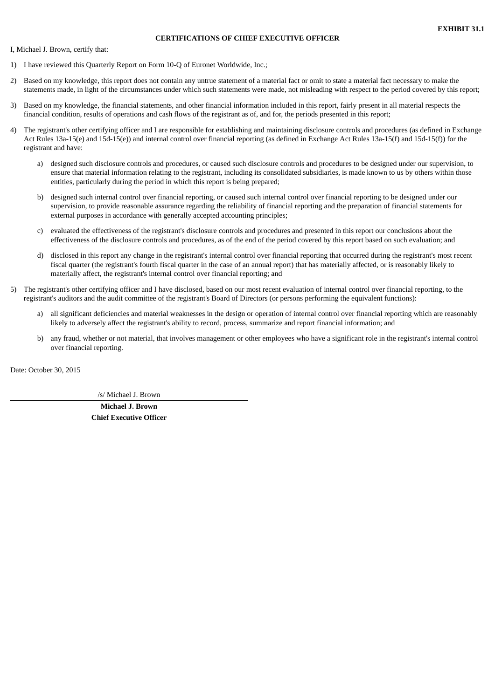#### **CERTIFICATIONS OF CHIEF EXECUTIVE OFFICER**

I, Michael J. Brown, certify that:

- 1) I have reviewed this Quarterly Report on Form 10-Q of Euronet Worldwide, Inc.;
- 2) Based on my knowledge, this report does not contain any untrue statement of a material fact or omit to state a material fact necessary to make the statements made, in light of the circumstances under which such statements were made, not misleading with respect to the period covered by this report;
- 3) Based on my knowledge, the financial statements, and other financial information included in this report, fairly present in all material respects the financial condition, results of operations and cash flows of the registrant as of, and for, the periods presented in this report;
- 4) The registrant's other certifying officer and I are responsible for establishing and maintaining disclosure controls and procedures (as defined in Exchange Act Rules 13a-15(e) and 15d-15(e)) and internal control over financial reporting (as defined in Exchange Act Rules 13a-15(f) and 15d-15(f)) for the registrant and have:
	- a) designed such disclosure controls and procedures, or caused such disclosure controls and procedures to be designed under our supervision, to ensure that material information relating to the registrant, including its consolidated subsidiaries, is made known to us by others within those entities, particularly during the period in which this report is being prepared;
	- b) designed such internal control over financial reporting, or caused such internal control over financial reporting to be designed under our supervision, to provide reasonable assurance regarding the reliability of financial reporting and the preparation of financial statements for external purposes in accordance with generally accepted accounting principles;
	- c) evaluated the effectiveness of the registrant's disclosure controls and procedures and presented in this report our conclusions about the effectiveness of the disclosure controls and procedures, as of the end of the period covered by this report based on such evaluation; and
	- d) disclosed in this report any change in the registrant's internal control over financial reporting that occurred during the registrant's most recent fiscal quarter (the registrant's fourth fiscal quarter in the case of an annual report) that has materially affected, or is reasonably likely to materially affect, the registrant's internal control over financial reporting; and
- 5) The registrant's other certifying officer and I have disclosed, based on our most recent evaluation of internal control over financial reporting, to the registrant's auditors and the audit committee of the registrant's Board of Directors (or persons performing the equivalent functions):
	- a) all significant deficiencies and material weaknesses in the design or operation of internal control over financial reporting which are reasonably likely to adversely affect the registrant's ability to record, process, summarize and report financial information; and
	- b) any fraud, whether or not material, that involves management or other employees who have a significant role in the registrant's internal control over financial reporting.

Date: October 30, 2015

/s/ Michael J. Brown

**Michael J. Brown Chief Executive Officer**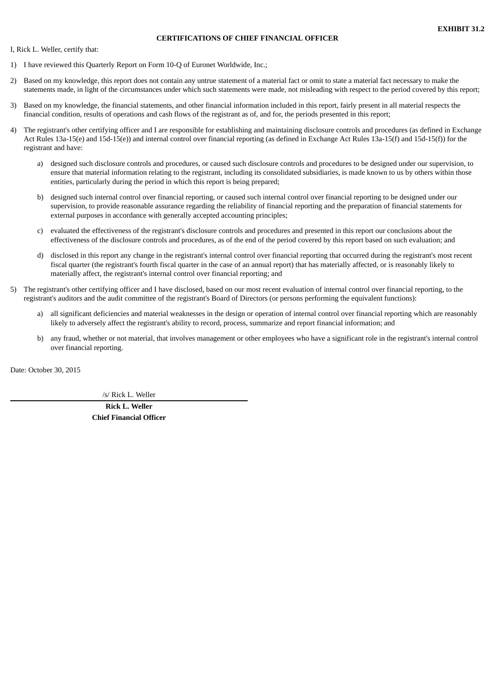#### **CERTIFICATIONS OF CHIEF FINANCIAL OFFICER**

I, Rick L. Weller, certify that:

- 1) I have reviewed this Quarterly Report on Form 10-Q of Euronet Worldwide, Inc.;
- 2) Based on my knowledge, this report does not contain any untrue statement of a material fact or omit to state a material fact necessary to make the statements made, in light of the circumstances under which such statements were made, not misleading with respect to the period covered by this report;
- 3) Based on my knowledge, the financial statements, and other financial information included in this report, fairly present in all material respects the financial condition, results of operations and cash flows of the registrant as of, and for, the periods presented in this report;
- 4) The registrant's other certifying officer and I are responsible for establishing and maintaining disclosure controls and procedures (as defined in Exchange Act Rules 13a-15(e) and 15d-15(e)) and internal control over financial reporting (as defined in Exchange Act Rules 13a-15(f) and 15d-15(f)) for the registrant and have:
	- a) designed such disclosure controls and procedures, or caused such disclosure controls and procedures to be designed under our supervision, to ensure that material information relating to the registrant, including its consolidated subsidiaries, is made known to us by others within those entities, particularly during the period in which this report is being prepared;
	- b) designed such internal control over financial reporting, or caused such internal control over financial reporting to be designed under our supervision, to provide reasonable assurance regarding the reliability of financial reporting and the preparation of financial statements for external purposes in accordance with generally accepted accounting principles;
	- c) evaluated the effectiveness of the registrant's disclosure controls and procedures and presented in this report our conclusions about the effectiveness of the disclosure controls and procedures, as of the end of the period covered by this report based on such evaluation; and
	- d) disclosed in this report any change in the registrant's internal control over financial reporting that occurred during the registrant's most recent fiscal quarter (the registrant's fourth fiscal quarter in the case of an annual report) that has materially affected, or is reasonably likely to materially affect, the registrant's internal control over financial reporting; and
- 5) The registrant's other certifying officer and I have disclosed, based on our most recent evaluation of internal control over financial reporting, to the registrant's auditors and the audit committee of the registrant's Board of Directors (or persons performing the equivalent functions):
	- a) all significant deficiencies and material weaknesses in the design or operation of internal control over financial reporting which are reasonably likely to adversely affect the registrant's ability to record, process, summarize and report financial information; and
	- b) any fraud, whether or not material, that involves management or other employees who have a significant role in the registrant's internal control over financial reporting.

Date: October 30, 2015

/s/ Rick L. Weller

**Rick L. Weller Chief Financial Officer**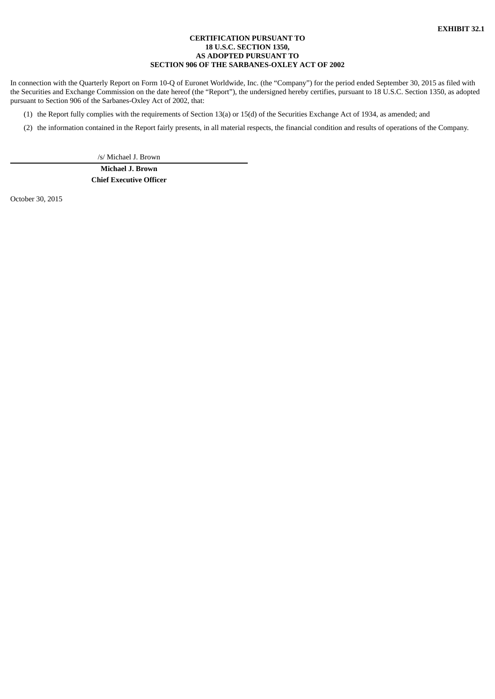#### **CERTIFICATION PURSUANT TO 18 U.S.C. SECTION 1350, AS ADOPTED PURSUANT TO SECTION 906 OF THE SARBANES-OXLEY ACT OF 2002**

In connection with the Quarterly Report on Form 10-Q of Euronet Worldwide, Inc. (the "Company") for the period ended September 30, 2015 as filed with the Securities and Exchange Commission on the date hereof (the "Report"), the undersigned hereby certifies, pursuant to 18 U.S.C. Section 1350, as adopted pursuant to Section 906 of the Sarbanes-Oxley Act of 2002, that:

- (1) the Report fully complies with the requirements of Section 13(a) or 15(d) of the Securities Exchange Act of 1934, as amended; and
- (2) the information contained in the Report fairly presents, in all material respects, the financial condition and results of operations of the Company.

/s/ Michael J. Brown

**Michael J. Brown Chief Executive Officer**

October 30, 2015